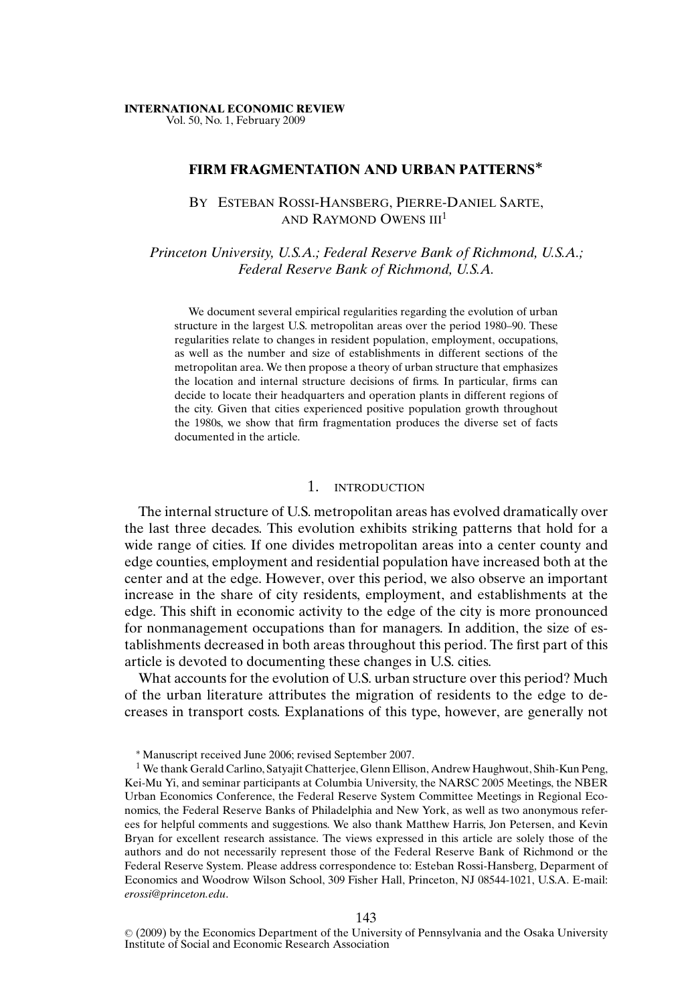#### **INTERNATIONAL ECONOMIC REVIEW**

Vol. 50, No. 1, February 2009

## **FIRM FRAGMENTATION AND URBAN PATTERNS***∗*

BY ESTEBAN ROSSI-HANSBERG, PIERRE-DANIEL SARTE, AND RAYMOND OWENS  $III<sup>1</sup>$ 

*Princeton University, U.S.A.; Federal Reserve Bank of Richmond, U.S.A.; Federal Reserve Bank of Richmond, U.S.A.*

We document several empirical regularities regarding the evolution of urban structure in the largest U.S. metropolitan areas over the period 1980–90. These regularities relate to changes in resident population, employment, occupations, as well as the number and size of establishments in different sections of the metropolitan area. We then propose a theory of urban structure that emphasizes the location and internal structure decisions of firms. In particular, firms can decide to locate their headquarters and operation plants in different regions of the city. Given that cities experienced positive population growth throughout the 1980s, we show that firm fragmentation produces the diverse set of facts documented in the article.

## 1. INTRODUCTION

The internal structure of U.S. metropolitan areas has evolved dramatically over the last three decades. This evolution exhibits striking patterns that hold for a wide range of cities. If one divides metropolitan areas into a center county and edge counties, employment and residential population have increased both at the center and at the edge. However, over this period, we also observe an important increase in the share of city residents, employment, and establishments at the edge. This shift in economic activity to the edge of the city is more pronounced for nonmanagement occupations than for managers. In addition, the size of establishments decreased in both areas throughout this period. The first part of this article is devoted to documenting these changes in U.S. cities.

What accounts for the evolution of U.S. urban structure over this period? Much of the urban literature attributes the migration of residents to the edge to decreases in transport costs. Explanations of this type, however, are generally not

143

<sup>C</sup> (2009) by the Economics Department of the University of Pennsylvania and the Osaka University Institute of Social and Economic Research Association

<sup>∗</sup> Manuscript received June 2006; revised September 2007.

<sup>&</sup>lt;sup>1</sup> We thank Gerald Carlino, Satyajit Chatterjee, Glenn Ellison, Andrew Haughwout, Shih-Kun Peng, Kei-Mu Yi, and seminar participants at Columbia University, the NARSC 2005 Meetings, the NBER Urban Economics Conference, the Federal Reserve System Committee Meetings in Regional Economics, the Federal Reserve Banks of Philadelphia and New York, as well as two anonymous referees for helpful comments and suggestions. We also thank Matthew Harris, Jon Petersen, and Kevin Bryan for excellent research assistance. The views expressed in this article are solely those of the authors and do not necessarily represent those of the Federal Reserve Bank of Richmond or the Federal Reserve System. Please address correspondence to: Esteban Rossi-Hansberg, Deparment of Economics and Woodrow Wilson School, 309 Fisher Hall, Princeton, NJ 08544-1021, U.S.A. E-mail: *erossi@princeton.edu*.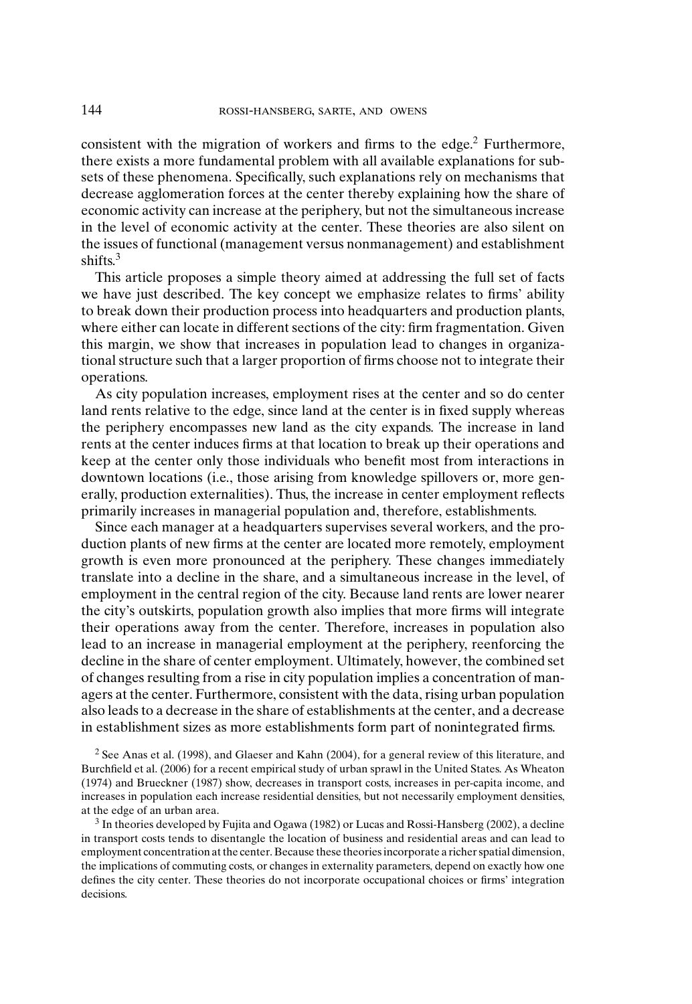consistent with the migration of workers and firms to the edge.<sup>2</sup> Furthermore, there exists a more fundamental problem with all available explanations for subsets of these phenomena. Specifically, such explanations rely on mechanisms that decrease agglomeration forces at the center thereby explaining how the share of economic activity can increase at the periphery, but not the simultaneous increase in the level of economic activity at the center. These theories are also silent on the issues of functional (management versus nonmanagement) and establishment shifts.<sup>3</sup>

This article proposes a simple theory aimed at addressing the full set of facts we have just described. The key concept we emphasize relates to firms' ability to break down their production process into headquarters and production plants, where either can locate in different sections of the city: firm fragmentation. Given this margin, we show that increases in population lead to changes in organizational structure such that a larger proportion of firms choose not to integrate their operations.

As city population increases, employment rises at the center and so do center land rents relative to the edge, since land at the center is in fixed supply whereas the periphery encompasses new land as the city expands. The increase in land rents at the center induces firms at that location to break up their operations and keep at the center only those individuals who benefit most from interactions in downtown locations (i.e., those arising from knowledge spillovers or, more generally, production externalities). Thus, the increase in center employment reflects primarily increases in managerial population and, therefore, establishments.

Since each manager at a headquarters supervises several workers, and the production plants of new firms at the center are located more remotely, employment growth is even more pronounced at the periphery. These changes immediately translate into a decline in the share, and a simultaneous increase in the level, of employment in the central region of the city. Because land rents are lower nearer the city's outskirts, population growth also implies that more firms will integrate their operations away from the center. Therefore, increases in population also lead to an increase in managerial employment at the periphery, reenforcing the decline in the share of center employment. Ultimately, however, the combined set of changes resulting from a rise in city population implies a concentration of managers at the center. Furthermore, consistent with the data, rising urban population also leads to a decrease in the share of establishments at the center, and a decrease in establishment sizes as more establishments form part of nonintegrated firms.

<sup>2</sup> See Anas et al. (1998), and Glaeser and Kahn (2004), for a general review of this literature, and Burchfield et al. (2006) for a recent empirical study of urban sprawl in the United States. As Wheaton (1974) and Brueckner (1987) show, decreases in transport costs, increases in per-capita income, and increases in population each increase residential densities, but not necessarily employment densities, at the edge of an urban area.

<sup>3</sup> In theories developed by Fujita and Ogawa (1982) or Lucas and Rossi-Hansberg (2002), a decline in transport costs tends to disentangle the location of business and residential areas and can lead to employment concentration at the center. Because these theories incorporate a richer spatial dimension, the implications of commuting costs, or changes in externality parameters, depend on exactly how one defines the city center. These theories do not incorporate occupational choices or firms' integration decisions.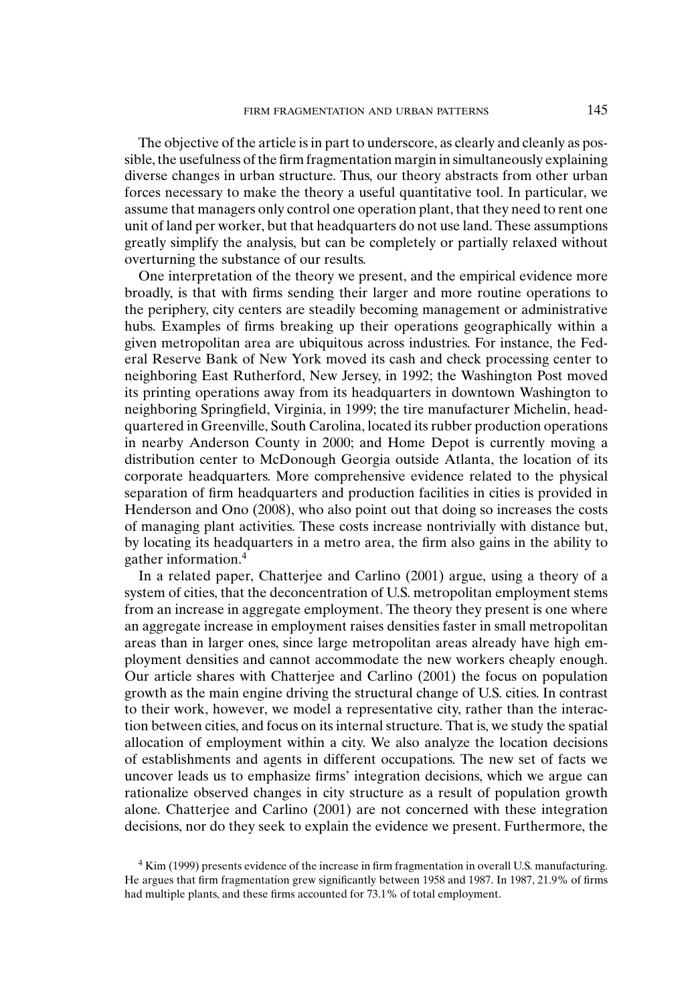The objective of the article is in part to underscore, as clearly and cleanly as possible, the usefulness of the firm fragmentation margin in simultaneously explaining diverse changes in urban structure. Thus, our theory abstracts from other urban forces necessary to make the theory a useful quantitative tool. In particular, we assume that managers only control one operation plant, that they need to rent one unit of land per worker, but that headquarters do not use land. These assumptions greatly simplify the analysis, but can be completely or partially relaxed without overturning the substance of our results.

One interpretation of the theory we present, and the empirical evidence more broadly, is that with firms sending their larger and more routine operations to the periphery, city centers are steadily becoming management or administrative hubs. Examples of firms breaking up their operations geographically within a given metropolitan area are ubiquitous across industries. For instance, the Federal Reserve Bank of New York moved its cash and check processing center to neighboring East Rutherford, New Jersey, in 1992; the Washington Post moved its printing operations away from its headquarters in downtown Washington to neighboring Springfield, Virginia, in 1999; the tire manufacturer Michelin, headquartered in Greenville, South Carolina, located its rubber production operations in nearby Anderson County in 2000; and Home Depot is currently moving a distribution center to McDonough Georgia outside Atlanta, the location of its corporate headquarters. More comprehensive evidence related to the physical separation of firm headquarters and production facilities in cities is provided in Henderson and Ono (2008), who also point out that doing so increases the costs of managing plant activities. These costs increase nontrivially with distance but, by locating its headquarters in a metro area, the firm also gains in the ability to gather information.4

In a related paper, Chatterjee and Carlino (2001) argue, using a theory of a system of cities, that the deconcentration of U.S. metropolitan employment stems from an increase in aggregate employment. The theory they present is one where an aggregate increase in employment raises densities faster in small metropolitan areas than in larger ones, since large metropolitan areas already have high employment densities and cannot accommodate the new workers cheaply enough. Our article shares with Chatterjee and Carlino (2001) the focus on population growth as the main engine driving the structural change of U.S. cities. In contrast to their work, however, we model a representative city, rather than the interaction between cities, and focus on its internal structure. That is, we study the spatial allocation of employment within a city. We also analyze the location decisions of establishments and agents in different occupations. The new set of facts we uncover leads us to emphasize firms' integration decisions, which we argue can rationalize observed changes in city structure as a result of population growth alone. Chatterjee and Carlino (2001) are not concerned with these integration decisions, nor do they seek to explain the evidence we present. Furthermore, the

<sup>4</sup> Kim (1999) presents evidence of the increase in firm fragmentation in overall U.S. manufacturing. He argues that firm fragmentation grew significantly between 1958 and 1987. In 1987, 21.9% of firms had multiple plants, and these firms accounted for 73.1% of total employment.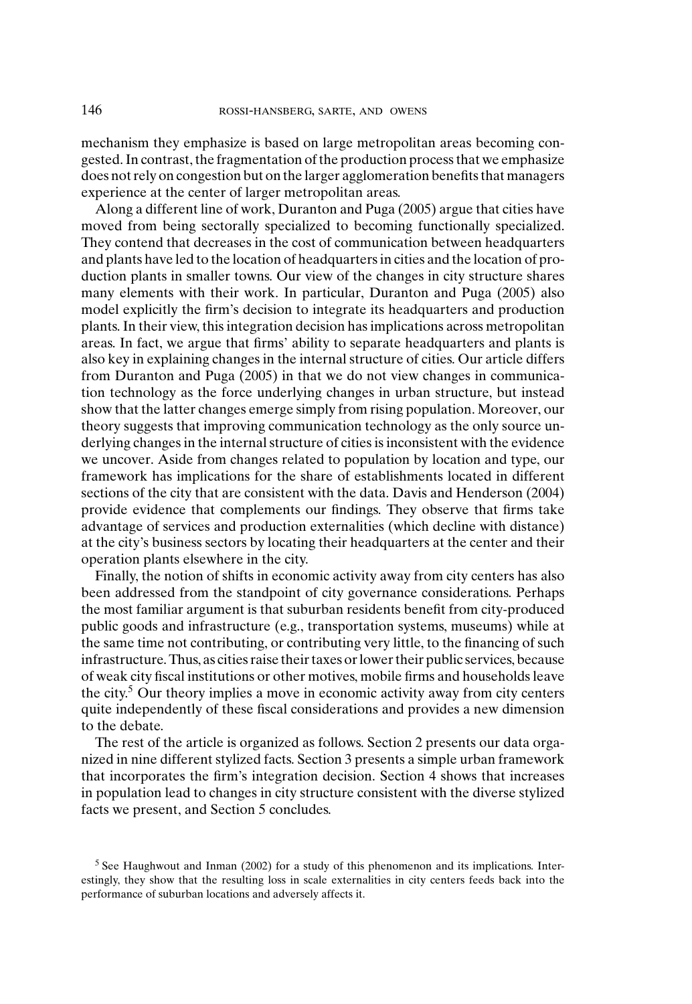mechanism they emphasize is based on large metropolitan areas becoming congested. In contrast, the fragmentation of the production process that we emphasize does not rely on congestion but on the larger agglomeration benefits that managers experience at the center of larger metropolitan areas.

Along a different line of work, Duranton and Puga (2005) argue that cities have moved from being sectorally specialized to becoming functionally specialized. They contend that decreases in the cost of communication between headquarters and plants have led to the location of headquarters in cities and the location of production plants in smaller towns. Our view of the changes in city structure shares many elements with their work. In particular, Duranton and Puga (2005) also model explicitly the firm's decision to integrate its headquarters and production plants. In their view, this integration decision has implications across metropolitan areas. In fact, we argue that firms' ability to separate headquarters and plants is also key in explaining changes in the internal structure of cities. Our article differs from Duranton and Puga (2005) in that we do not view changes in communication technology as the force underlying changes in urban structure, but instead show that the latter changes emerge simply from rising population. Moreover, our theory suggests that improving communication technology as the only source underlying changes in the internal structure of cities is inconsistent with the evidence we uncover. Aside from changes related to population by location and type, our framework has implications for the share of establishments located in different sections of the city that are consistent with the data. Davis and Henderson (2004) provide evidence that complements our findings. They observe that firms take advantage of services and production externalities (which decline with distance) at the city's business sectors by locating their headquarters at the center and their operation plants elsewhere in the city.

Finally, the notion of shifts in economic activity away from city centers has also been addressed from the standpoint of city governance considerations. Perhaps the most familiar argument is that suburban residents benefit from city-produced public goods and infrastructure (e.g., transportation systems, museums) while at the same time not contributing, or contributing very little, to the financing of such infrastructure. Thus, as cities raise their taxes or lower their public services, because of weak city fiscal institutions or other motives, mobile firms and households leave the city.<sup>5</sup> Our theory implies a move in economic activity away from city centers quite independently of these fiscal considerations and provides a new dimension to the debate.

The rest of the article is organized as follows. Section 2 presents our data organized in nine different stylized facts. Section 3 presents a simple urban framework that incorporates the firm's integration decision. Section 4 shows that increases in population lead to changes in city structure consistent with the diverse stylized facts we present, and Section 5 concludes.

 $<sup>5</sup>$  See Haughwout and Inman (2002) for a study of this phenomenon and its implications. Inter-</sup> estingly, they show that the resulting loss in scale externalities in city centers feeds back into the performance of suburban locations and adversely affects it.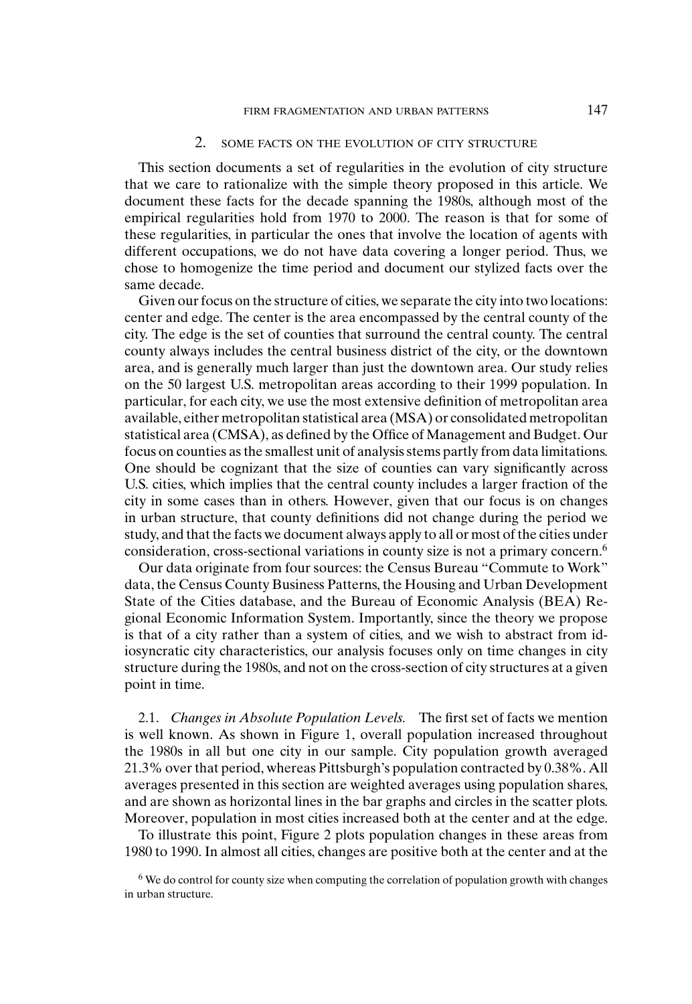## 2. SOME FACTS ON THE EVOLUTION OF CITY STRUCTURE

This section documents a set of regularities in the evolution of city structure that we care to rationalize with the simple theory proposed in this article. We document these facts for the decade spanning the 1980s, although most of the empirical regularities hold from 1970 to 2000. The reason is that for some of these regularities, in particular the ones that involve the location of agents with different occupations, we do not have data covering a longer period. Thus, we chose to homogenize the time period and document our stylized facts over the same decade.

Given our focus on the structure of cities, we separate the city into two locations: center and edge. The center is the area encompassed by the central county of the city. The edge is the set of counties that surround the central county. The central county always includes the central business district of the city, or the downtown area, and is generally much larger than just the downtown area. Our study relies on the 50 largest U.S. metropolitan areas according to their 1999 population. In particular, for each city, we use the most extensive definition of metropolitan area available, either metropolitan statistical area (MSA) or consolidated metropolitan statistical area (CMSA), as defined by the Office of Management and Budget. Our focus on counties as the smallest unit of analysis stems partly from data limitations. One should be cognizant that the size of counties can vary significantly across U.S. cities, which implies that the central county includes a larger fraction of the city in some cases than in others. However, given that our focus is on changes in urban structure, that county definitions did not change during the period we study, and that the facts we document always apply to all or most of the cities under consideration, cross-sectional variations in county size is not a primary concern.<sup>6</sup>

Our data originate from four sources: the Census Bureau "Commute to Work" data, the Census County Business Patterns, the Housing and Urban Development State of the Cities database, and the Bureau of Economic Analysis (BEA) Regional Economic Information System. Importantly, since the theory we propose is that of a city rather than a system of cities, and we wish to abstract from idiosyncratic city characteristics, our analysis focuses only on time changes in city structure during the 1980s, and not on the cross-section of city structures at a given point in time.

2.1. *Changes in Absolute Population Levels.* The first set of facts we mention is well known. As shown in Figure 1, overall population increased throughout the 1980s in all but one city in our sample. City population growth averaged 21.3% over that period, whereas Pittsburgh's population contracted by 0.38%. All averages presented in this section are weighted averages using population shares, and are shown as horizontal lines in the bar graphs and circles in the scatter plots. Moreover, population in most cities increased both at the center and at the edge.

To illustrate this point, Figure 2 plots population changes in these areas from 1980 to 1990. In almost all cities, changes are positive both at the center and at the

<sup>&</sup>lt;sup>6</sup> We do control for county size when computing the correlation of population growth with changes in urban structure.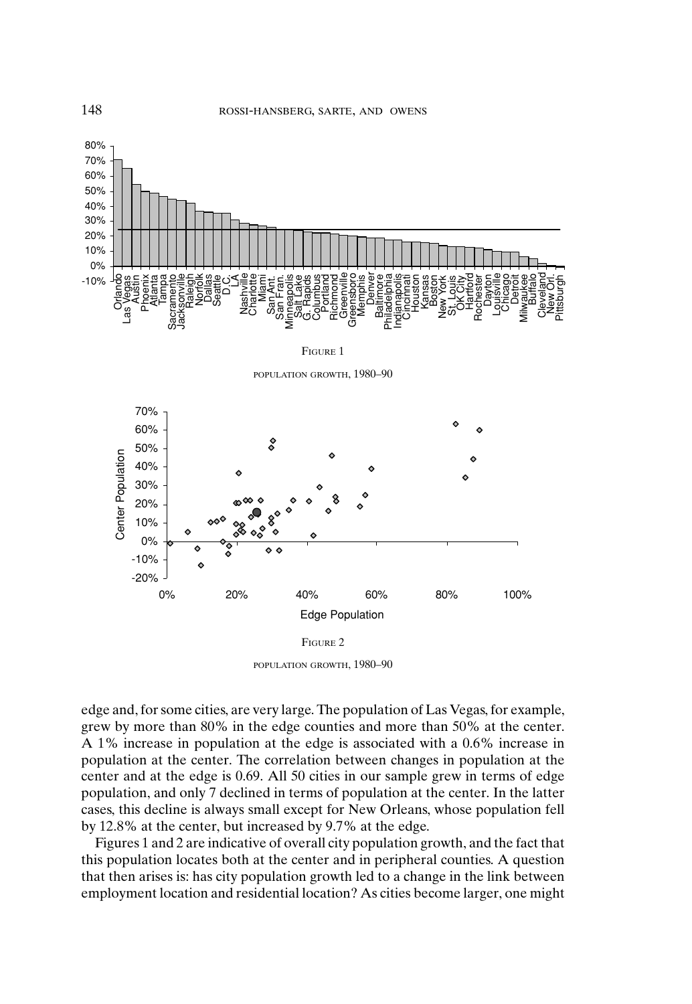

POPULATION GROWTH, 1980–90

edge and, for some cities, are very large. The population of Las Vegas, for example, grew by more than 80% in the edge counties and more than 50% at the center. A 1% increase in population at the edge is associated with a 0.6% increase in population at the center. The correlation between changes in population at the center and at the edge is 0.69. All 50 cities in our sample grew in terms of edge population, and only 7 declined in terms of population at the center. In the latter cases, this decline is always small except for New Orleans, whose population fell by 12.8% at the center, but increased by 9.7% at the edge.

Figures 1 and 2 are indicative of overall city population growth, and the fact that this population locates both at the center and in peripheral counties. A question that then arises is: has city population growth led to a change in the link between employment location and residential location? As cities become larger, one might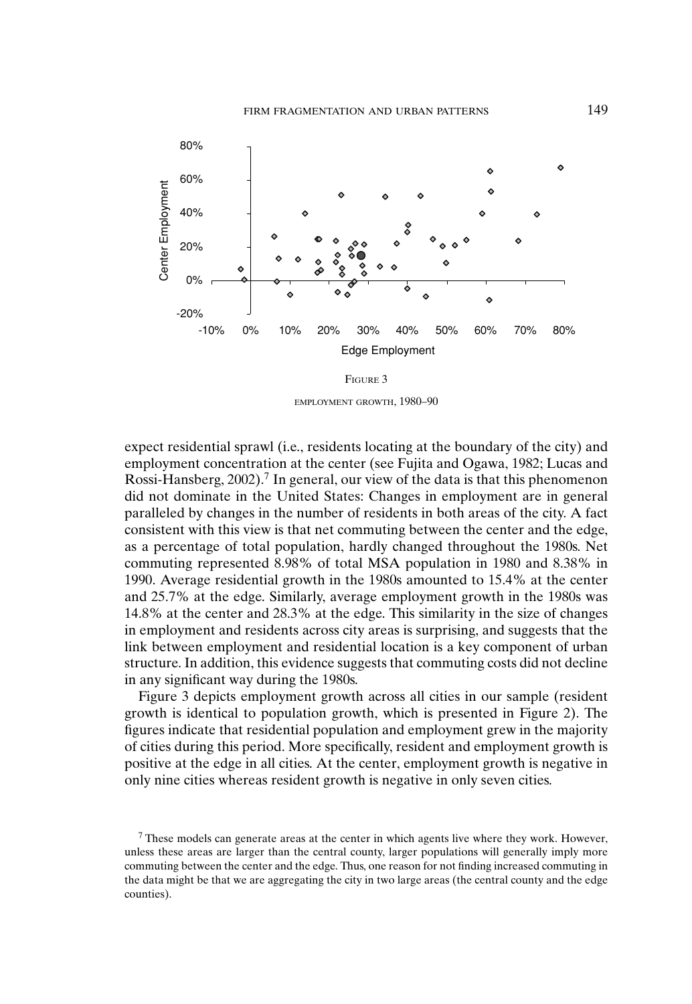

EMPLOYMENT GROWTH, 1980–90

expect residential sprawl (i.e., residents locating at the boundary of the city) and employment concentration at the center (see Fujita and Ogawa, 1982; Lucas and Rossi-Hansberg,  $2002$ ).<sup>7</sup> In general, our view of the data is that this phenomenon did not dominate in the United States: Changes in employment are in general paralleled by changes in the number of residents in both areas of the city. A fact consistent with this view is that net commuting between the center and the edge, as a percentage of total population, hardly changed throughout the 1980s. Net commuting represented 8.98% of total MSA population in 1980 and 8.38% in 1990. Average residential growth in the 1980s amounted to 15.4% at the center and 25.7% at the edge. Similarly, average employment growth in the 1980s was 14.8% at the center and 28.3% at the edge. This similarity in the size of changes in employment and residents across city areas is surprising, and suggests that the link between employment and residential location is a key component of urban structure. In addition, this evidence suggests that commuting costs did not decline in any significant way during the 1980s.

Figure 3 depicts employment growth across all cities in our sample (resident growth is identical to population growth, which is presented in Figure 2). The figures indicate that residential population and employment grew in the majority of cities during this period. More specifically, resident and employment growth is positive at the edge in all cities. At the center, employment growth is negative in only nine cities whereas resident growth is negative in only seven cities.

 $<sup>7</sup>$  These models can generate areas at the center in which agents live where they work. However,</sup> unless these areas are larger than the central county, larger populations will generally imply more commuting between the center and the edge. Thus, one reason for not finding increased commuting in the data might be that we are aggregating the city in two large areas (the central county and the edge counties).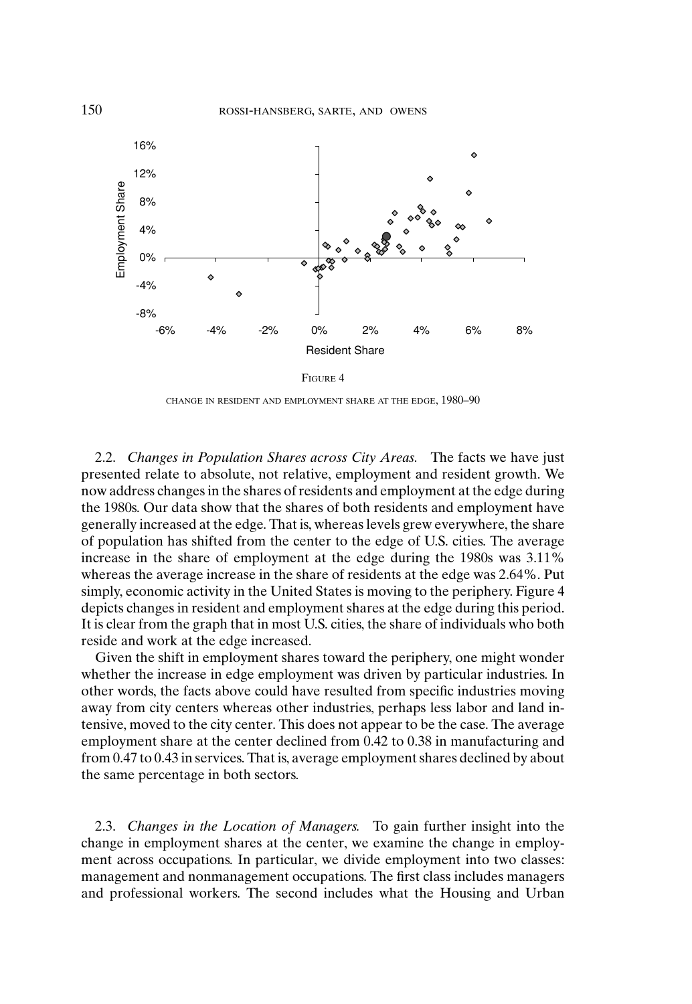

CHANGE IN RESIDENT AND EMPLOYMENT SHARE AT THE EDGE, 1980–90

2.2. *Changes in Population Shares across City Areas.* The facts we have just presented relate to absolute, not relative, employment and resident growth. We now address changes in the shares of residents and employment at the edge during the 1980s. Our data show that the shares of both residents and employment have generally increased at the edge. That is, whereas levels grew everywhere, the share of population has shifted from the center to the edge of U.S. cities. The average increase in the share of employment at the edge during the 1980s was 3.11% whereas the average increase in the share of residents at the edge was 2.64%. Put simply, economic activity in the United States is moving to the periphery. Figure 4 depicts changes in resident and employment shares at the edge during this period. It is clear from the graph that in most U.S. cities, the share of individuals who both reside and work at the edge increased.

Given the shift in employment shares toward the periphery, one might wonder whether the increase in edge employment was driven by particular industries. In other words, the facts above could have resulted from specific industries moving away from city centers whereas other industries, perhaps less labor and land intensive, moved to the city center. This does not appear to be the case. The average employment share at the center declined from 0.42 to 0.38 in manufacturing and from 0.47 to 0.43 in services. That is, average employment shares declined by about the same percentage in both sectors.

2.3. *Changes in the Location of Managers.* To gain further insight into the change in employment shares at the center, we examine the change in employment across occupations. In particular, we divide employment into two classes: management and nonmanagement occupations. The first class includes managers and professional workers. The second includes what the Housing and Urban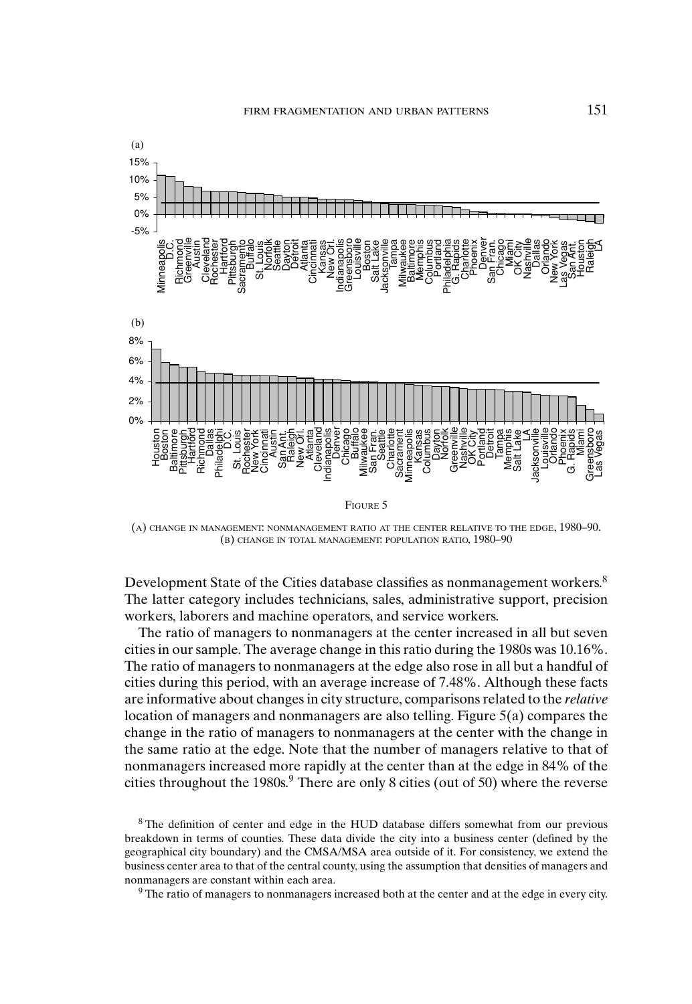

(A) CHANGE IN MANAGEMENT: NONMANAGEMENT RATIO AT THE CENTER RELATIVE TO THE EDGE, 1980–90. (B) CHANGE IN TOTAL MANAGEMENT: POPULATION RATIO, 1980–90

Development State of the Cities database classifies as nonmanagement workers.<sup>8</sup> The latter category includes technicians, sales, administrative support, precision workers, laborers and machine operators, and service workers.

The ratio of managers to nonmanagers at the center increased in all but seven cities in our sample. The average change in this ratio during the 1980s was 10.16%. The ratio of managers to nonmanagers at the edge also rose in all but a handful of cities during this period, with an average increase of 7.48%. Although these facts are informative about changes in city structure, comparisons related to the *relative* location of managers and nonmanagers are also telling. Figure 5(a) compares the change in the ratio of managers to nonmanagers at the center with the change in the same ratio at the edge. Note that the number of managers relative to that of nonmanagers increased more rapidly at the center than at the edge in 84% of the cities throughout the  $1980s<sup>9</sup>$  There are only 8 cities (out of 50) where the reverse

<sup>9</sup> The ratio of managers to nonmanagers increased both at the center and at the edge in every city.

<sup>&</sup>lt;sup>8</sup> The definition of center and edge in the HUD database differs somewhat from our previous breakdown in terms of counties. These data divide the city into a business center (defined by the geographical city boundary) and the CMSA/MSA area outside of it. For consistency, we extend the business center area to that of the central county, using the assumption that densities of managers and nonmanagers are constant within each area.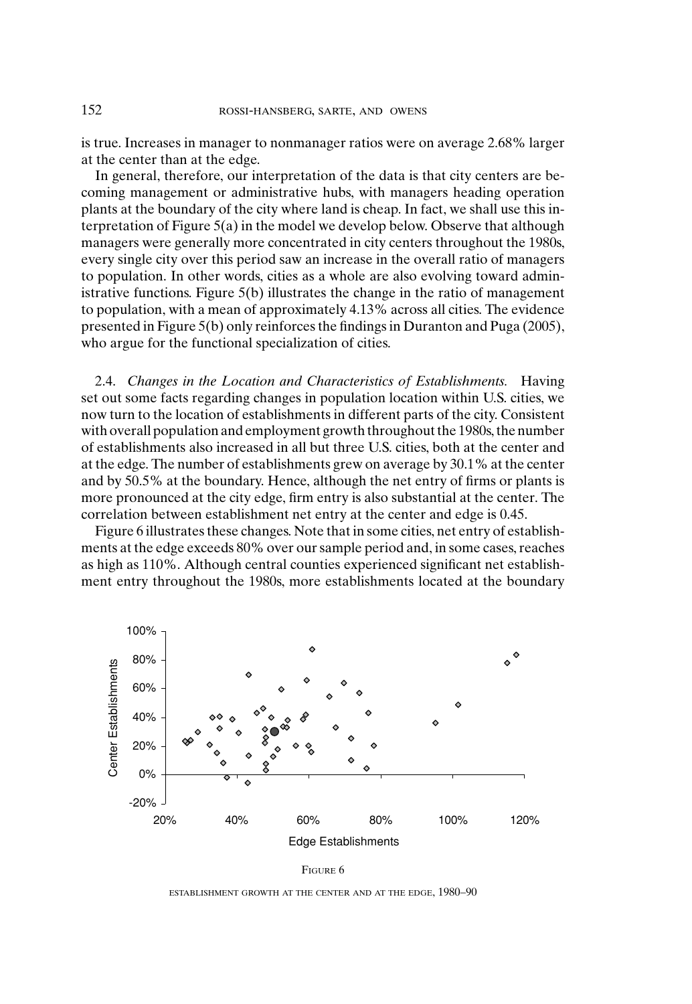is true. Increases in manager to nonmanager ratios were on average 2.68% larger at the center than at the edge.

In general, therefore, our interpretation of the data is that city centers are becoming management or administrative hubs, with managers heading operation plants at the boundary of the city where land is cheap. In fact, we shall use this interpretation of Figure 5(a) in the model we develop below. Observe that although managers were generally more concentrated in city centers throughout the 1980s, every single city over this period saw an increase in the overall ratio of managers to population. In other words, cities as a whole are also evolving toward administrative functions. Figure 5(b) illustrates the change in the ratio of management to population, with a mean of approximately 4.13% across all cities. The evidence presented in Figure 5(b) only reinforces the findings in Duranton and Puga (2005), who argue for the functional specialization of cities.

2.4. *Changes in the Location and Characteristics of Establishments.* Having set out some facts regarding changes in population location within U.S. cities, we now turn to the location of establishments in different parts of the city. Consistent with overall population and employment growth throughout the 1980s, the number of establishments also increased in all but three U.S. cities, both at the center and at the edge. The number of establishments grew on average by 30.1% at the center and by 50.5% at the boundary. Hence, although the net entry of firms or plants is more pronounced at the city edge, firm entry is also substantial at the center. The correlation between establishment net entry at the center and edge is 0.45.

Figure 6 illustrates these changes. Note that in some cities, net entry of establishments at the edge exceeds 80% over our sample period and, in some cases, reaches as high as 110%. Although central counties experienced significant net establishment entry throughout the 1980s, more establishments located at the boundary





ESTABLISHMENT GROWTH AT THE CENTER AND AT THE EDGE, 1980–90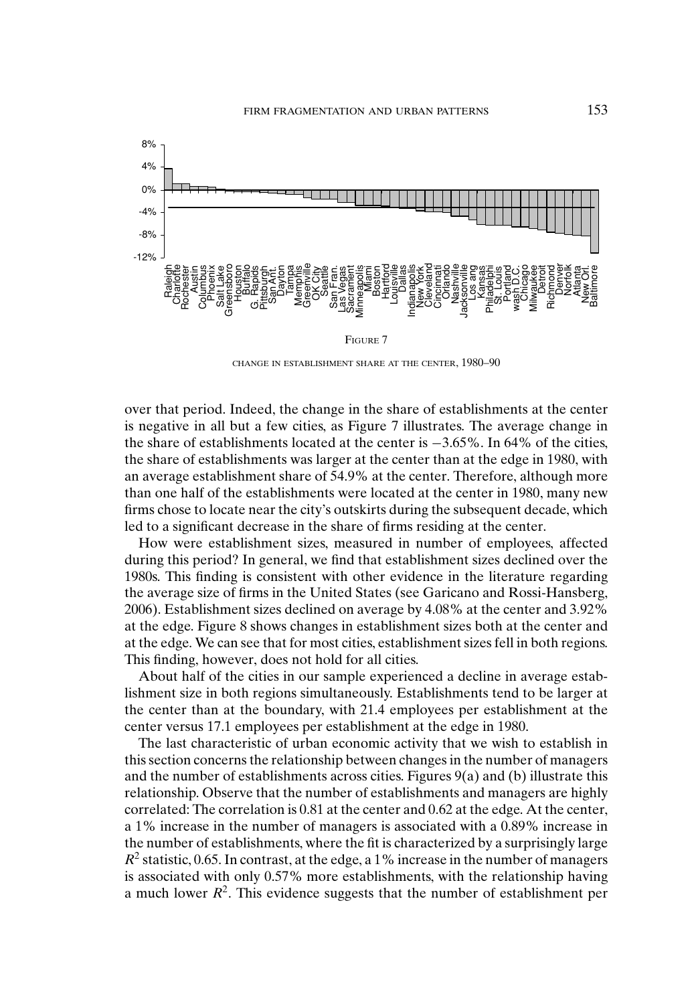

CHANGE IN ESTABLISHMENT SHARE AT THE CENTER, 1980–90

over that period. Indeed, the change in the share of establishments at the center is negative in all but a few cities, as Figure 7 illustrates. The average change in the share of establishments located at the center is −3.65%. In 64% of the cities, the share of establishments was larger at the center than at the edge in 1980, with an average establishment share of 54.9% at the center. Therefore, although more than one half of the establishments were located at the center in 1980, many new firms chose to locate near the city's outskirts during the subsequent decade, which led to a significant decrease in the share of firms residing at the center.

How were establishment sizes, measured in number of employees, affected during this period? In general, we find that establishment sizes declined over the 1980s. This finding is consistent with other evidence in the literature regarding the average size of firms in the United States (see Garicano and Rossi-Hansberg, 2006). Establishment sizes declined on average by 4.08% at the center and 3.92% at the edge. Figure 8 shows changes in establishment sizes both at the center and at the edge. We can see that for most cities, establishment sizes fell in both regions. This finding, however, does not hold for all cities.

About half of the cities in our sample experienced a decline in average establishment size in both regions simultaneously. Establishments tend to be larger at the center than at the boundary, with 21.4 employees per establishment at the center versus 17.1 employees per establishment at the edge in 1980.

The last characteristic of urban economic activity that we wish to establish in this section concerns the relationship between changes in the number of managers and the number of establishments across cities. Figures  $9(a)$  and (b) illustrate this relationship. Observe that the number of establishments and managers are highly correlated: The correlation is 0.81 at the center and 0.62 at the edge. At the center, a 1% increase in the number of managers is associated with a 0.89% increase in the number of establishments, where the fit is characterized by a surprisingly large  $R^2$  statistic, 0.65. In contrast, at the edge, a 1% increase in the number of managers is associated with only 0.57% more establishments, with the relationship having a much lower  $R^2$ . This evidence suggests that the number of establishment per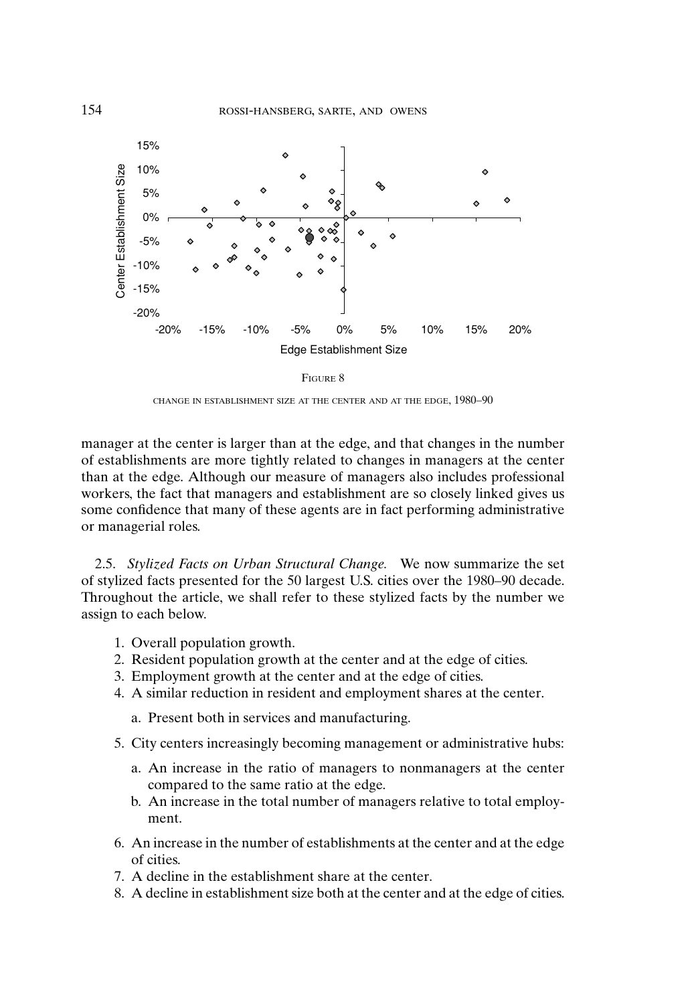

FIGURE 8

CHANGE IN ESTABLISHMENT SIZE AT THE CENTER AND AT THE EDGE, 1980–90

manager at the center is larger than at the edge, and that changes in the number of establishments are more tightly related to changes in managers at the center than at the edge. Although our measure of managers also includes professional workers, the fact that managers and establishment are so closely linked gives us some confidence that many of these agents are in fact performing administrative or managerial roles.

2.5. *Stylized Facts on Urban Structural Change.* We now summarize the set of stylized facts presented for the 50 largest U.S. cities over the 1980–90 decade. Throughout the article, we shall refer to these stylized facts by the number we assign to each below.

- 1. Overall population growth.
- 2. Resident population growth at the center and at the edge of cities.
- 3. Employment growth at the center and at the edge of cities.
- 4. A similar reduction in resident and employment shares at the center.
	- a. Present both in services and manufacturing.
- 5. City centers increasingly becoming management or administrative hubs:
	- a. An increase in the ratio of managers to nonmanagers at the center compared to the same ratio at the edge.
	- b. An increase in the total number of managers relative to total employment.
- 6. An increase in the number of establishments at the center and at the edge of cities.
- 7. A decline in the establishment share at the center.
- 8. A decline in establishment size both at the center and at the edge of cities.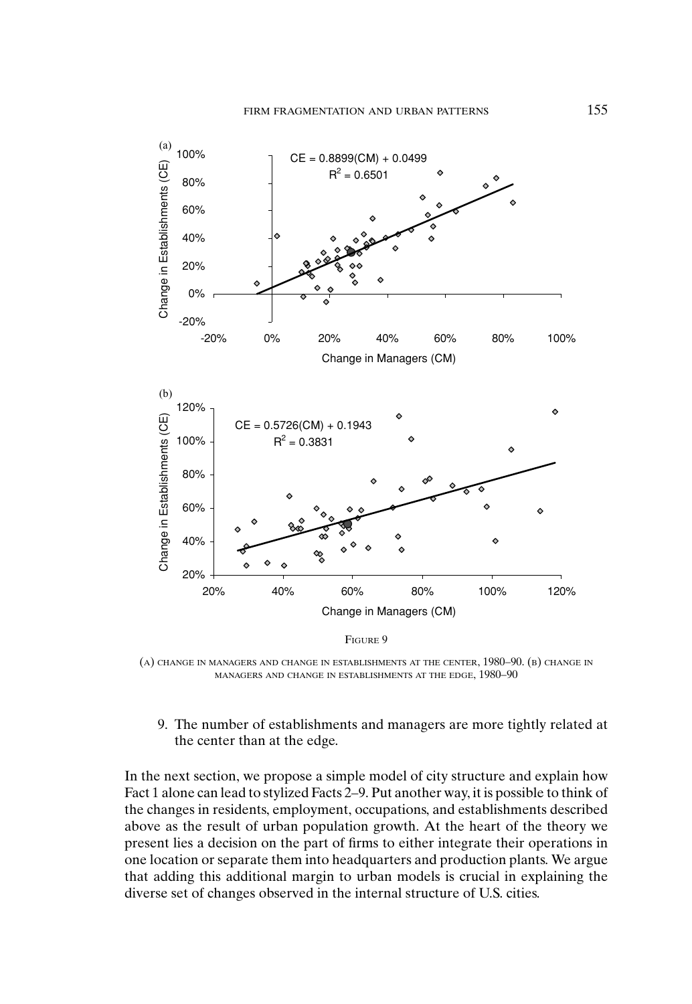

(A) CHANGE IN MANAGERS AND CHANGE IN ESTABLISHMENTS AT THE CENTER, 1980–90. (B) CHANGE IN MANAGERS AND CHANGE IN ESTABLISHMENTS AT THE EDGE, 1980–90

9. The number of establishments and managers are more tightly related at the center than at the edge.

In the next section, we propose a simple model of city structure and explain how Fact 1 alone can lead to stylized Facts 2–9. Put another way, it is possible to think of the changes in residents, employment, occupations, and establishments described above as the result of urban population growth. At the heart of the theory we present lies a decision on the part of firms to either integrate their operations in one location or separate them into headquarters and production plants. We argue that adding this additional margin to urban models is crucial in explaining the diverse set of changes observed in the internal structure of U.S. cities.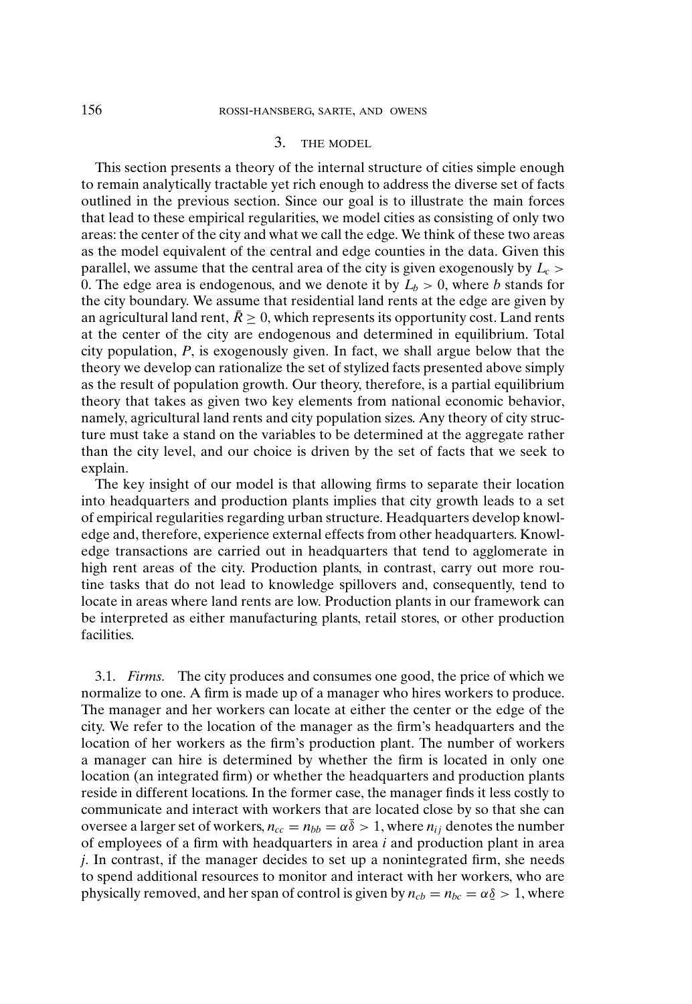# 3. THE MODEL

This section presents a theory of the internal structure of cities simple enough to remain analytically tractable yet rich enough to address the diverse set of facts outlined in the previous section. Since our goal is to illustrate the main forces that lead to these empirical regularities, we model cities as consisting of only two areas: the center of the city and what we call the edge. We think of these two areas as the model equivalent of the central and edge counties in the data. Given this parallel, we assume that the central area of the city is given exogenously by  $L_c$  > 0. The edge area is endogenous, and we denote it by  $L_b > 0$ , where *b* stands for the city boundary. We assume that residential land rents at the edge are given by an agricultural land rent,  $\bar{R} \geq 0$ , which represents its opportunity cost. Land rents at the center of the city are endogenous and determined in equilibrium. Total city population, *P*, is exogenously given. In fact, we shall argue below that the theory we develop can rationalize the set of stylized facts presented above simply as the result of population growth. Our theory, therefore, is a partial equilibrium theory that takes as given two key elements from national economic behavior, namely, agricultural land rents and city population sizes. Any theory of city structure must take a stand on the variables to be determined at the aggregate rather than the city level, and our choice is driven by the set of facts that we seek to explain.

The key insight of our model is that allowing firms to separate their location into headquarters and production plants implies that city growth leads to a set of empirical regularities regarding urban structure. Headquarters develop knowledge and, therefore, experience external effects from other headquarters. Knowledge transactions are carried out in headquarters that tend to agglomerate in high rent areas of the city. Production plants, in contrast, carry out more routine tasks that do not lead to knowledge spillovers and, consequently, tend to locate in areas where land rents are low. Production plants in our framework can be interpreted as either manufacturing plants, retail stores, or other production **facilities** 

3.1. *Firms.* The city produces and consumes one good, the price of which we normalize to one. A firm is made up of a manager who hires workers to produce. The manager and her workers can locate at either the center or the edge of the city. We refer to the location of the manager as the firm's headquarters and the location of her workers as the firm's production plant. The number of workers a manager can hire is determined by whether the firm is located in only one location (an integrated firm) or whether the headquarters and production plants reside in different locations. In the former case, the manager finds it less costly to communicate and interact with workers that are located close by so that she can oversee a larger set of workers,  $n_{cc} = n_{bb} = \alpha \bar{\delta} > 1$ , where  $n_{ij}$  denotes the number of employees of a firm with headquarters in area *i* and production plant in area *j*. In contrast, if the manager decides to set up a nonintegrated firm, she needs to spend additional resources to monitor and interact with her workers, who are physically removed, and her span of control is given by  $n_{cb} = n_{bc} = \alpha \delta > 1$ , where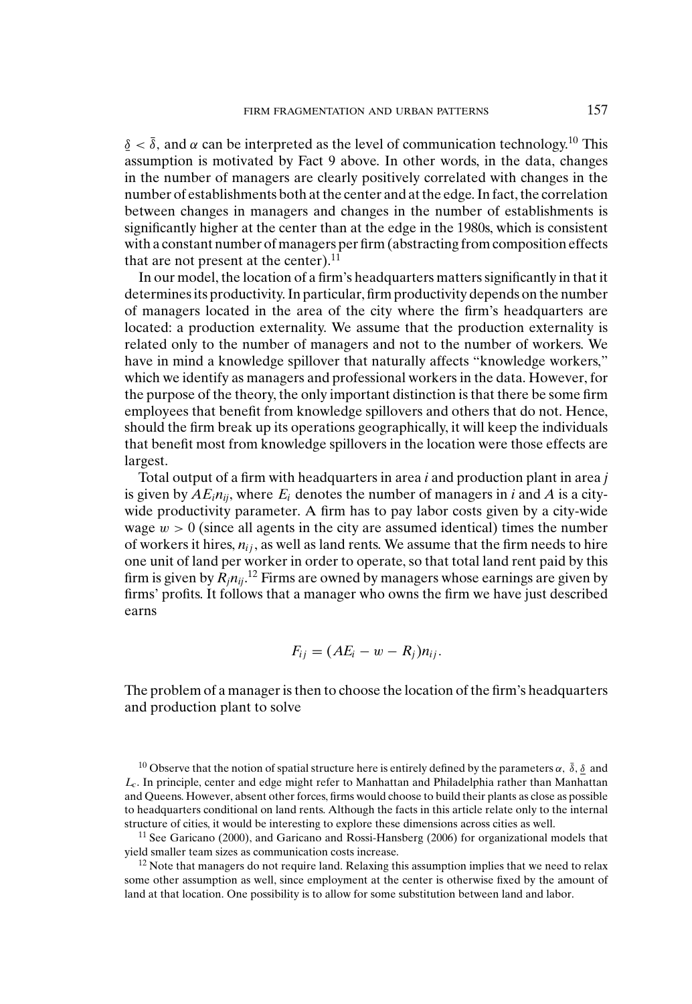$\delta \leq \bar{\delta}$ , and  $\alpha$  can be interpreted as the level of communication technology.<sup>10</sup> This assumption is motivated by Fact 9 above. In other words, in the data, changes in the number of managers are clearly positively correlated with changes in the number of establishments both at the center and at the edge. In fact, the correlation between changes in managers and changes in the number of establishments is significantly higher at the center than at the edge in the 1980s, which is consistent with a constant number of managers per firm (abstracting from composition effects that are not present at the center). $^{11}$ 

In our model, the location of a firm's headquarters matters significantly in that it determines its productivity. In particular, firm productivity depends on the number of managers located in the area of the city where the firm's headquarters are located: a production externality. We assume that the production externality is related only to the number of managers and not to the number of workers. We have in mind a knowledge spillover that naturally affects "knowledge workers," which we identify as managers and professional workers in the data. However, for the purpose of the theory, the only important distinction is that there be some firm employees that benefit from knowledge spillovers and others that do not. Hence, should the firm break up its operations geographically, it will keep the individuals that benefit most from knowledge spillovers in the location were those effects are largest.

Total output of a firm with headquarters in area *i* and production plant in area *j* is given by  $AE_i n_{ii}$ , where  $E_i$  denotes the number of managers in *i* and *A* is a citywide productivity parameter. A firm has to pay labor costs given by a city-wide wage  $w > 0$  (since all agents in the city are assumed identical) times the number of workers it hires,  $n_{ij}$ , as well as land rents. We assume that the firm needs to hire one unit of land per worker in order to operate, so that total land rent paid by this firm is given by  $R_j n_{ij}$ .<sup>12</sup> Firms are owned by managers whose earnings are given by firms' profits. It follows that a manager who owns the firm we have just described earns

$$
F_{ij}=(AE_i-w-R_j)n_{ij}.
$$

The problem of a manager is then to choose the location of the firm's headquarters and production plant to solve

<sup>10</sup> Observe that the notion of spatial structure here is entirely defined by the parameters α,  $\bar{\delta}$ , δ and *Lc*. In principle, center and edge might refer to Manhattan and Philadelphia rather than Manhattan and Queens. However, absent other forces, firms would choose to build their plants as close as possible to headquarters conditional on land rents. Although the facts in this article relate only to the internal structure of cities, it would be interesting to explore these dimensions across cities as well.

<sup>11</sup> See Garicano (2000), and Garicano and Rossi-Hansberg (2006) for organizational models that yield smaller team sizes as communication costs increase.

 $12$  Note that managers do not require land. Relaxing this assumption implies that we need to relax some other assumption as well, since employment at the center is otherwise fixed by the amount of land at that location. One possibility is to allow for some substitution between land and labor.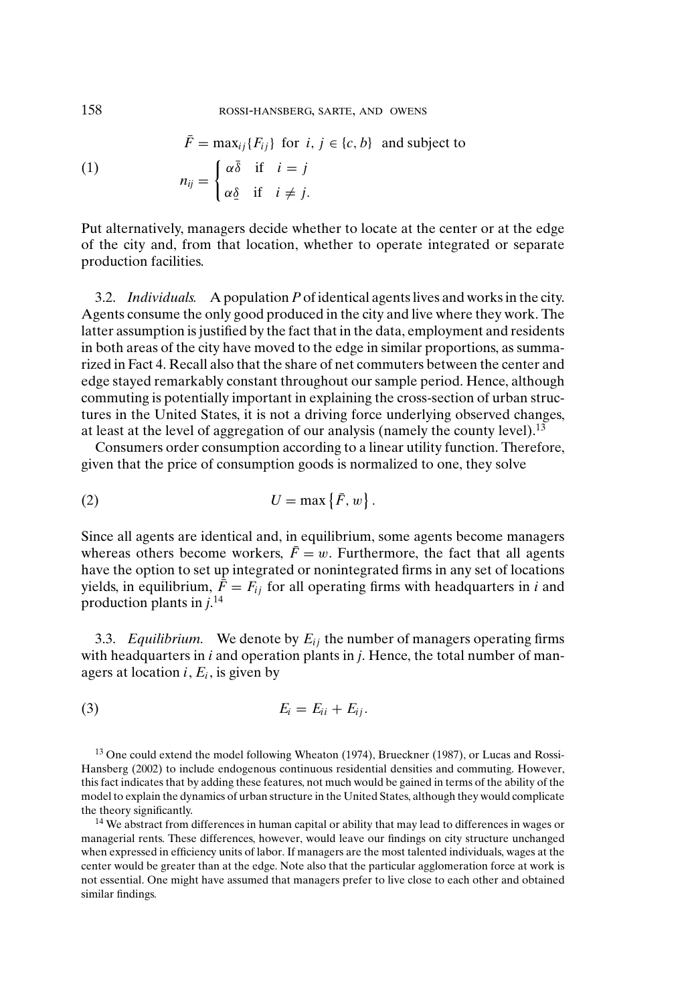(1)  
\n
$$
\bar{F} = \max_{ij} \{F_{ij}\} \text{ for } i, j \in \{c, b\} \text{ and subject to}
$$
\n
$$
n_{ij} = \begin{cases}\n\alpha \bar{\delta} & \text{if } i = j \\
\alpha \underline{\delta} & \text{if } i \neq j.\n\end{cases}
$$

Put alternatively, managers decide whether to locate at the center or at the edge of the city and, from that location, whether to operate integrated or separate production facilities.

3.2. *Individuals.* A population*P* of identical agents lives and works in the city. Agents consume the only good produced in the city and live where they work. The latter assumption is justified by the fact that in the data, employment and residents in both areas of the city have moved to the edge in similar proportions, as summarized in Fact 4. Recall also that the share of net commuters between the center and edge stayed remarkably constant throughout our sample period. Hence, although commuting is potentially important in explaining the cross-section of urban structures in the United States, it is not a driving force underlying observed changes, at least at the level of aggregation of our analysis (namely the county level).<sup>13</sup>

Consumers order consumption according to a linear utility function. Therefore, given that the price of consumption goods is normalized to one, they solve

$$
(2) \tU = \max \{ \bar{F}, w \}.
$$

Since all agents are identical and, in equilibrium, some agents become managers whereas others become workers,  $\bar{F} = w$ . Furthermore, the fact that all agents have the option to set up integrated or nonintegrated firms in any set of locations yields, in equilibrium,  $\bar{F} = F_{ij}$  for all operating firms with headquarters in *i* and production plants in *j*. 14

3.3. *Equilibrium.* We denote by  $E_{ij}$  the number of managers operating firms with headquarters in *i* and operation plants in *j*. Hence, the total number of managers at location  $i$ ,  $E_i$ , is given by

$$
E_i = E_{ii} + E_{ij}.
$$

<sup>13</sup> One could extend the model following Wheaton (1974), Brueckner (1987), or Lucas and Rossi-Hansberg (2002) to include endogenous continuous residential densities and commuting. However, this fact indicates that by adding these features, not much would be gained in terms of the ability of the model to explain the dynamics of urban structure in the United States, although they would complicate the theory significantly.

<sup>14</sup> We abstract from differences in human capital or ability that may lead to differences in wages or managerial rents. These differences, however, would leave our findings on city structure unchanged when expressed in efficiency units of labor. If managers are the most talented individuals, wages at the center would be greater than at the edge. Note also that the particular agglomeration force at work is not essential. One might have assumed that managers prefer to live close to each other and obtained similar findings.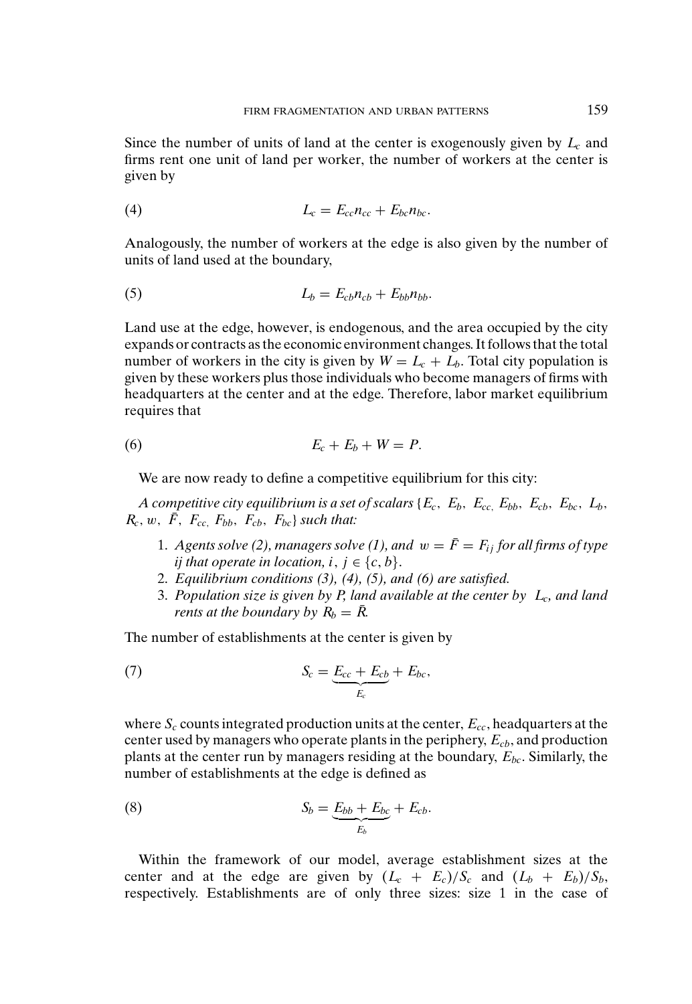Since the number of units of land at the center is exogenously given by  $L_c$  and firms rent one unit of land per worker, the number of workers at the center is given by

$$
L_c = E_{cc} n_{cc} + E_{bc} n_{bc}.
$$

Analogously, the number of workers at the edge is also given by the number of units of land used at the boundary,

$$
(5) \tL_b = E_{cb}n_{cb} + E_{bb}n_{bb}.
$$

Land use at the edge, however, is endogenous, and the area occupied by the city expands or contracts as the economic environment changes. It follows that the total number of workers in the city is given by  $W = L_c + L_b$ . Total city population is given by these workers plus those individuals who become managers of firms with headquarters at the center and at the edge. Therefore, labor market equilibrium requires that

$$
(6) \hspace{3.1em} E_c + E_b + W = P.
$$

We are now ready to define a competitive equilibrium for this city:

*A competitive city equilibrium is a set of scalars* {*Ec*, *Eb*, *Ecc*, *Ebb*, *Ecb*, *Ebc*, *Lb*,  $R_c, w, \bar{F}, F_{cc}, F_{bb}, F_{cb}, F_{bc}$  *such that:* 

- 1. *Agents solve (2), managers solve (1), and*  $w = \bar{F} = F_{ii}$  *for all firms of type ij that operate in location, i,*  $j \in \{c, b\}$ *.*
- 2. *Equilibrium conditions (3), (4), (5), and (6) are satisfied.*
- 3. Population size is given by P, land available at the center by  $L_c$ , and land *rents at the boundary by*  $R_b = \overline{R}$ .

The number of establishments at the center is given by

(7) 
$$
S_c = \underbrace{E_{cc} + E_{cb}}_{E_c} + E_{bc},
$$

where  $S_c$  counts integrated production units at the center,  $E_{cc}$ , headquarters at the center used by managers who operate plants in the periphery, *Ecb*, and production plants at the center run by managers residing at the boundary, *Ebc*. Similarly, the number of establishments at the edge is defined as

(8) 
$$
S_b = \underbrace{E_{bb} + E_{bc}}_{E_b} + E_{cb}.
$$

Within the framework of our model, average establishment sizes at the center and at the edge are given by  $(L_c + E_c)/S_c$  and  $(L_b + E_b)/S_b$ , respectively. Establishments are of only three sizes: size 1 in the case of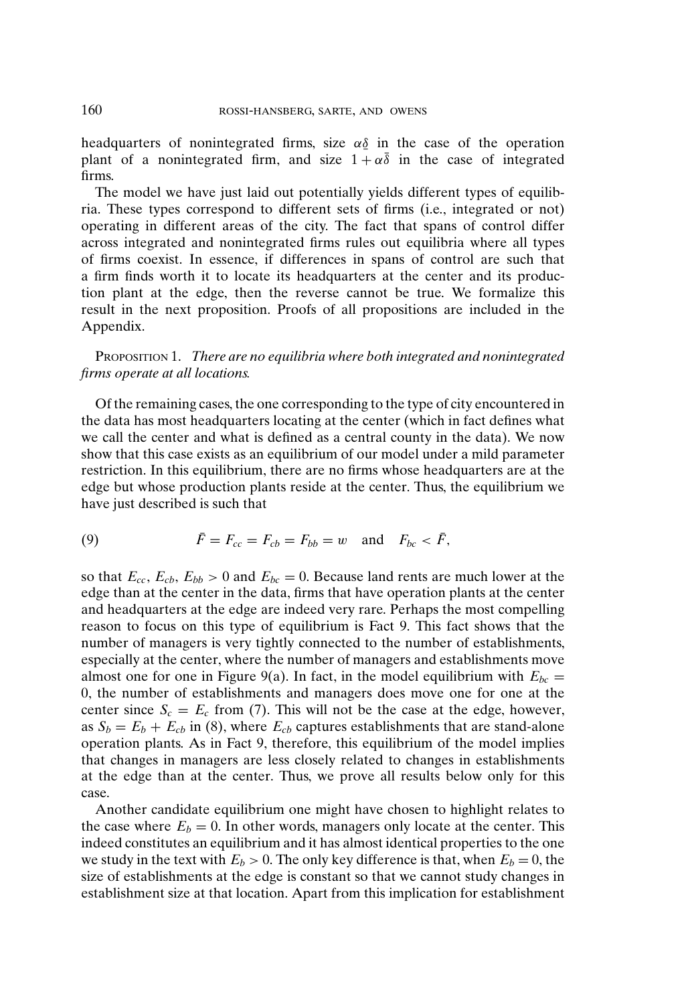headquarters of nonintegrated firms, size  $\alpha_2^{\delta}$  in the case of the operation<br>plant of a nonintegrated firm, and size  $1 + \alpha_2^{\delta}$  in the case of integrated plant of a nonintegrated firm, and size  $1 + \alpha \overline{\delta}$  in the case of integrated firms.

The model we have just laid out potentially yields different types of equilibria. These types correspond to different sets of firms (i.e., integrated or not) operating in different areas of the city. The fact that spans of control differ across integrated and nonintegrated firms rules out equilibria where all types of firms coexist. In essence, if differences in spans of control are such that a firm finds worth it to locate its headquarters at the center and its production plant at the edge, then the reverse cannot be true. We formalize this result in the next proposition. Proofs of all propositions are included in the Appendix.

PROPOSITION 1. *There are no equilibria where both integrated and nonintegrated firms operate at all locations.*

Of the remaining cases, the one corresponding to the type of city encountered in the data has most headquarters locating at the center (which in fact defines what we call the center and what is defined as a central county in the data). We now show that this case exists as an equilibrium of our model under a mild parameter restriction. In this equilibrium, there are no firms whose headquarters are at the edge but whose production plants reside at the center. Thus, the equilibrium we have just described is such that

(9) 
$$
\bar{F} = F_{cc} = F_{cb} = F_{bb} = w \text{ and } F_{bc} < \bar{F},
$$

so that  $E_{cc}$ ,  $E_{cb}$ ,  $E_{bb} > 0$  and  $E_{bc} = 0$ . Because land rents are much lower at the edge than at the center in the data, firms that have operation plants at the center and headquarters at the edge are indeed very rare. Perhaps the most compelling reason to focus on this type of equilibrium is Fact 9. This fact shows that the number of managers is very tightly connected to the number of establishments, especially at the center, where the number of managers and establishments move almost one for one in Figure 9(a). In fact, in the model equilibrium with  $E_{bc}$  = 0, the number of establishments and managers does move one for one at the center since  $S_c = E_c$  from (7). This will not be the case at the edge, however, as  $S_b = E_b + E_{cb}$  in (8), where  $E_{cb}$  captures establishments that are stand-alone operation plants. As in Fact 9, therefore, this equilibrium of the model implies that changes in managers are less closely related to changes in establishments at the edge than at the center. Thus, we prove all results below only for this case.

Another candidate equilibrium one might have chosen to highlight relates to the case where  $E_b = 0$ . In other words, managers only locate at the center. This indeed constitutes an equilibrium and it has almost identical properties to the one we study in the text with  $E_b > 0$ . The only key difference is that, when  $E_b = 0$ , the size of establishments at the edge is constant so that we cannot study changes in establishment size at that location. Apart from this implication for establishment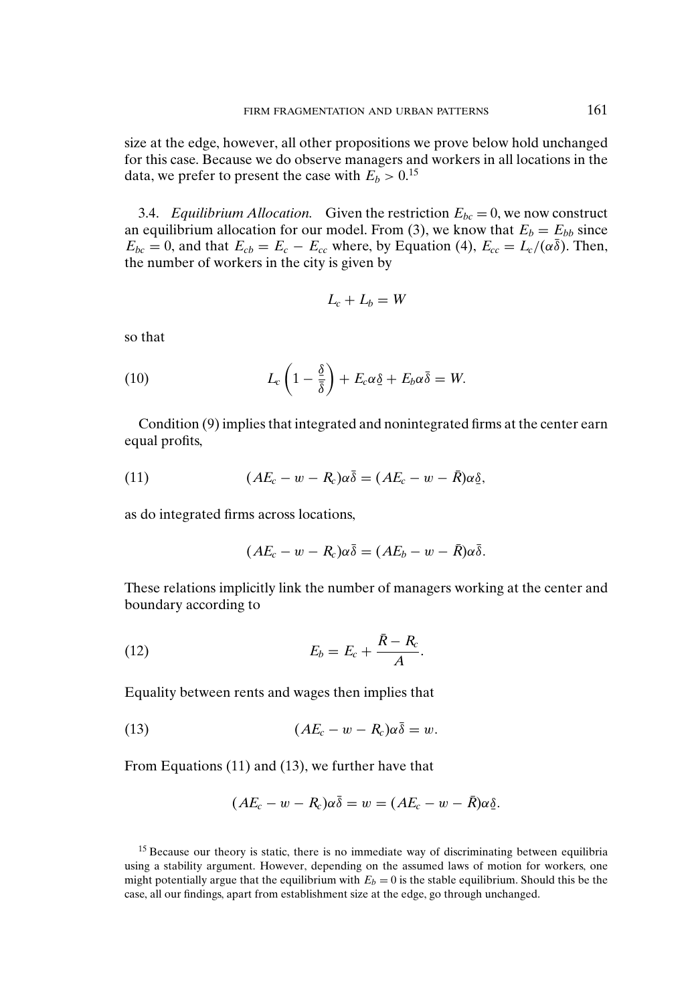size at the edge, however, all other propositions we prove below hold unchanged for this case. Because we do observe managers and workers in all locations in the data, we prefer to present the case with  $E_b > 0.15$ 

3.4. *Equilibrium Allocation.* Given the restriction  $E_{bc} = 0$ , we now construct an equilibrium allocation for our model. From (3), we know that  $E_b = E_{bb}$  since  $E_{bc} = 0$ , and that  $E_{cb} = E_c - E_{cc}$  where, by Equation (4),  $E_{cc} = L_c/(\alpha \bar{\delta})$ . Then, the number of workers in the city is given by

$$
L_c + L_b = W
$$

so that

(10) 
$$
L_c\left(1-\frac{\delta}{\delta}\right)+E_c\alpha\delta+E_b\alpha\overline{\delta}=W.
$$

Condition (9) implies that integrated and nonintegrated firms at the center earn equal profits,

(11) 
$$
(AE_c - w - R_c)\alpha\overline{\delta} = (AE_c - w - \overline{R})\alpha\underline{\delta},
$$

as do integrated firms across locations,

$$
(AE_c - w - R_c)\alpha\overline{\delta} = (AE_b - w - \overline{R})\alpha\overline{\delta}.
$$

These relations implicitly link the number of managers working at the center and boundary according to

$$
E_b = E_c + \frac{\bar{R} - R_c}{A}.
$$

Equality between rents and wages then implies that

(13) 
$$
(AE_c - w - R_c)\alpha \overline{\delta} = w.
$$

From Equations (11) and (13), we further have that

$$
(AE_c - w - R_c)\alpha\overline{\delta} = w = (AE_c - w - \overline{R})\alpha\underline{\delta}.
$$

<sup>&</sup>lt;sup>15</sup> Because our theory is static, there is no immediate way of discriminating between equilibria using a stability argument. However, depending on the assumed laws of motion for workers, one might potentially argue that the equilibrium with  $E_b = 0$  is the stable equilibrium. Should this be the case, all our findings, apart from establishment size at the edge, go through unchanged.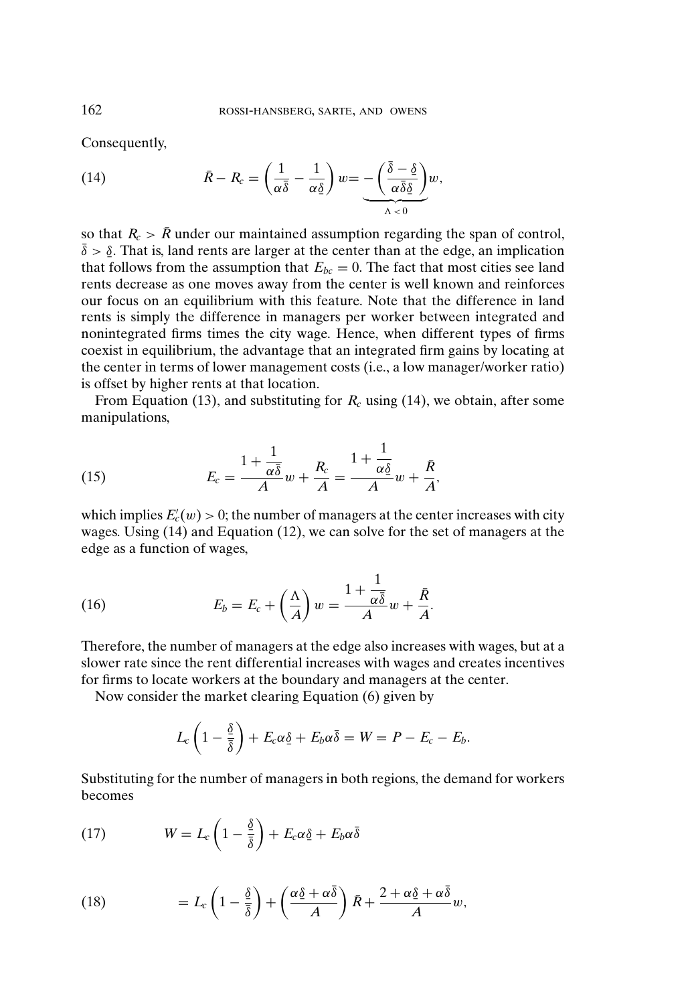Consequently,

(14) 
$$
\bar{R} - R_c = \left(\frac{1}{\alpha \bar{\delta}} - \frac{1}{\alpha \bar{\delta}}\right) w = \underbrace{-\left(\frac{\bar{\delta} - \underline{\delta}}{\alpha \bar{\delta} \underline{\delta}}\right)}_{\Lambda < 0} w,
$$

so that  $R_c > \bar{R}$  under our maintained assumption regarding the span of control,  $\overline{\delta} > \underline{\delta}$ . That is, land rents are larger at the center than at the edge, an implication that follows from the assumption that  $F_t = 0$ . The fact that most cities see land that follows from the assumption that  $E_{bc} = 0$ . The fact that most cities see land rents decrease as one moves away from the center is well known and reinforces our focus on an equilibrium with this feature. Note that the difference in land rents is simply the difference in managers per worker between integrated and nonintegrated firms times the city wage. Hence, when different types of firms coexist in equilibrium, the advantage that an integrated firm gains by locating at the center in terms of lower management costs (i.e., a low manager/worker ratio) is offset by higher rents at that location.

From Equation (13), and substituting for  $R_c$  using (14), we obtain, after some manipulations,

(15) 
$$
E_c = \frac{1 + \frac{1}{\alpha \overline{\delta}}}{A} w + \frac{R_c}{A} = \frac{1 + \frac{1}{\alpha \overline{\delta}}}{A} w + \frac{\overline{R}}{A},
$$

which implies  $E_c'(w) > 0$ ; the number of managers at the center increases with city wages. Using (14) and Equation (12), we can solve for the set of managers at the edge as a function of wages,

(16) 
$$
E_b = E_c + \left(\frac{\Lambda}{A}\right)w = \frac{1 + \frac{1}{\alpha\overline{\delta}}}{A}w + \frac{\overline{R}}{A}.
$$

Therefore, the number of managers at the edge also increases with wages, but at a slower rate since the rent differential increases with wages and creates incentives for firms to locate workers at the boundary and managers at the center.

Now consider the market clearing Equation (6) given by

$$
L_c\left(1-\frac{\delta}{\delta}\right)+E_c\alpha\delta+E_b\alpha\overline{\delta}=W=P-E_c-E_b.
$$

Substituting for the number of managers in both regions, the demand for workers becomes

(17) 
$$
W = L_c \left( 1 - \frac{\delta}{\overline{\delta}} \right) + E_c \alpha \underline{\delta} + E_b \alpha \overline{\delta}
$$

(18) 
$$
= L_c \left( 1 - \frac{\delta}{\overline{\delta}} \right) + \left( \frac{\alpha \underline{\delta} + \alpha \overline{\delta}}{A} \right) \overline{R} + \frac{2 + \alpha \underline{\delta} + \alpha \overline{\delta}}{A} w,
$$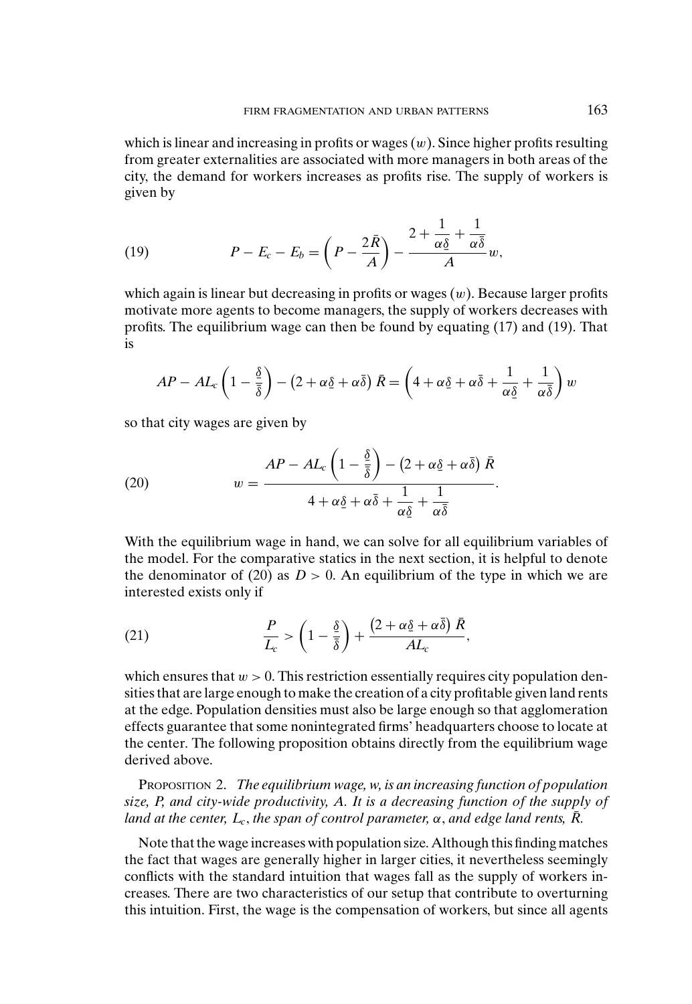which is linear and increasing in profits or wages  $(w)$ . Since higher profits resulting from greater externalities are associated with more managers in both areas of the city, the demand for workers increases as profits rise. The supply of workers is given by

(19) 
$$
P-E_c-E_b=\left(P-\frac{2\bar{R}}{A}\right)-\frac{2+\frac{1}{\alpha\delta}+\frac{1}{\alpha\delta}}{A}w,
$$

which again is linear but decreasing in profits or wages  $(w)$ . Because larger profits motivate more agents to become managers, the supply of workers decreases with profits. The equilibrium wage can then be found by equating (17) and (19). That is

$$
AP - AL_c \left(1 - \frac{\delta}{\overline{\delta}}\right) - \left(2 + \alpha \delta + \alpha \overline{\delta}\right) \overline{R} = \left(4 + \alpha \delta + \alpha \overline{\delta} + \frac{1}{\alpha \delta} + \frac{1}{\alpha \overline{\delta}}\right) w
$$

so that city wages are given by

(20) 
$$
w = \frac{AP - AL_c \left(1 - \frac{\delta}{\overline{\delta}}\right) - \left(2 + \alpha \underline{\delta} + \alpha \overline{\delta}\right) \overline{R}}{4 + \alpha \underline{\delta} + \alpha \overline{\delta} + \frac{1}{\alpha \underline{\delta}} + \frac{1}{\alpha \overline{\delta}}}.
$$

With the equilibrium wage in hand, we can solve for all equilibrium variables of the model. For the comparative statics in the next section, it is helpful to denote the denominator of (20) as  $D > 0$ . An equilibrium of the type in which we are interested exists only if

(21) 
$$
\frac{P}{L_c} > \left(1 - \frac{\delta}{\overline{\delta}}\right) + \frac{\left(2 + \alpha \underline{\delta} + \alpha \overline{\delta}\right) \overline{R}}{AL_c},
$$

which ensures that  $w > 0$ . This restriction essentially requires city population densities that are large enough to make the creation of a city profitable given land rents at the edge. Population densities must also be large enough so that agglomeration effects guarantee that some nonintegrated firms' headquarters choose to locate at the center. The following proposition obtains directly from the equilibrium wage derived above.

PROPOSITION 2. *The equilibrium wage, w, is an increasing function of population size, P, and city-wide productivity, A. It is a decreasing function of the supply of land at the center,*  $L_c$ , *the span of control parameter,*  $\alpha$ *, and edge land rents,*  $\bar{R}$ .

Note that the wage increases with population size. Although this finding matches the fact that wages are generally higher in larger cities, it nevertheless seemingly conflicts with the standard intuition that wages fall as the supply of workers increases. There are two characteristics of our setup that contribute to overturning this intuition. First, the wage is the compensation of workers, but since all agents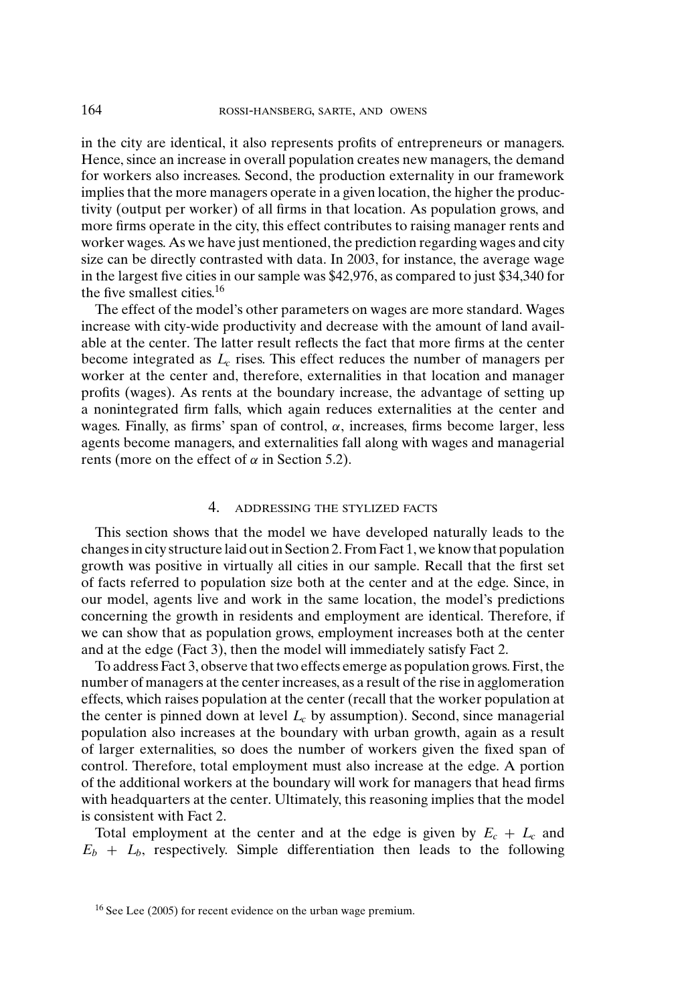in the city are identical, it also represents profits of entrepreneurs or managers. Hence, since an increase in overall population creates new managers, the demand for workers also increases. Second, the production externality in our framework implies that the more managers operate in a given location, the higher the productivity (output per worker) of all firms in that location. As population grows, and more firms operate in the city, this effect contributes to raising manager rents and worker wages. As we have just mentioned, the prediction regarding wages and city size can be directly contrasted with data. In 2003, for instance, the average wage in the largest five cities in our sample was \$42,976, as compared to just \$34,340 for the five smallest cities.<sup>16</sup>

The effect of the model's other parameters on wages are more standard. Wages increase with city-wide productivity and decrease with the amount of land available at the center. The latter result reflects the fact that more firms at the center become integrated as  $L_c$  rises. This effect reduces the number of managers per worker at the center and, therefore, externalities in that location and manager profits (wages). As rents at the boundary increase, the advantage of setting up a nonintegrated firm falls, which again reduces externalities at the center and wages. Finally, as firms' span of control,  $\alpha$ , increases, firms become larger, less agents become managers, and externalities fall along with wages and managerial rents (more on the effect of  $\alpha$  in Section 5.2).

## 4. ADDRESSING THE STYLIZED FACTS

This section shows that the model we have developed naturally leads to the changes in city structure laid out in Section 2. From Fact 1, we know that population growth was positive in virtually all cities in our sample. Recall that the first set of facts referred to population size both at the center and at the edge. Since, in our model, agents live and work in the same location, the model's predictions concerning the growth in residents and employment are identical. Therefore, if we can show that as population grows, employment increases both at the center and at the edge (Fact 3), then the model will immediately satisfy Fact 2.

To address Fact 3, observe that two effects emerge as population grows. First, the number of managers at the center increases, as a result of the rise in agglomeration effects, which raises population at the center (recall that the worker population at the center is pinned down at level  $L_c$  by assumption). Second, since managerial population also increases at the boundary with urban growth, again as a result of larger externalities, so does the number of workers given the fixed span of control. Therefore, total employment must also increase at the edge. A portion of the additional workers at the boundary will work for managers that head firms with headquarters at the center. Ultimately, this reasoning implies that the model is consistent with Fact 2.

Total employment at the center and at the edge is given by  $E_c + L_c$  and  $E_b + L_b$ , respectively. Simple differentiation then leads to the following

<sup>16</sup> See Lee (2005) for recent evidence on the urban wage premium.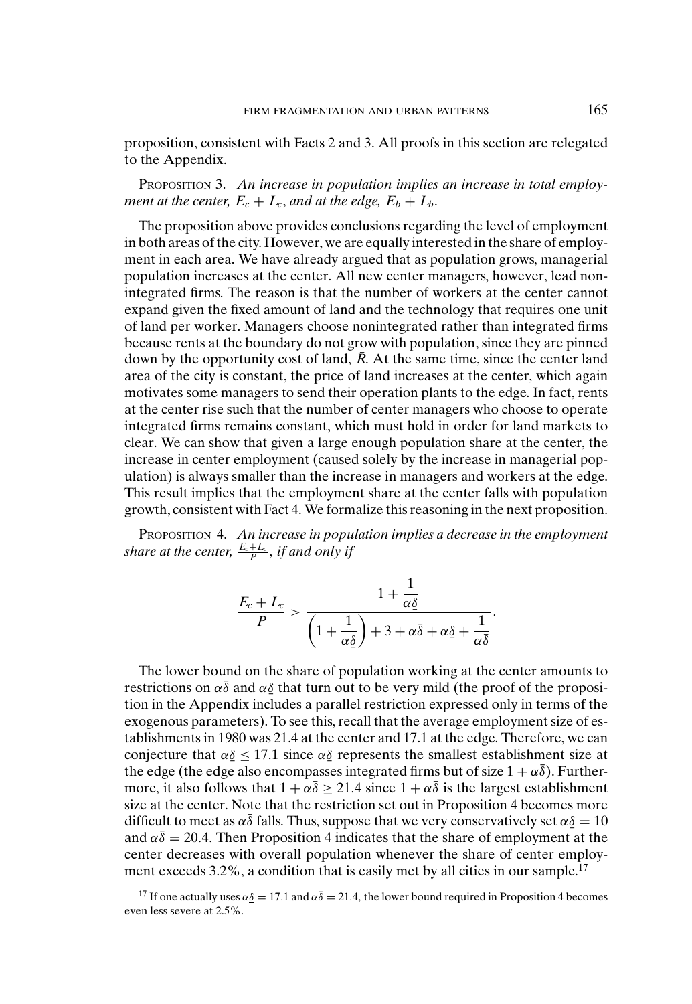proposition, consistent with Facts 2 and 3. All proofs in this section are relegated to the Appendix.

PROPOSITION 3. *An increase in population implies an increase in total employment at the center,*  $E_c + L_c$ *, and at the edge,*  $E_b + L_b$ *.* 

The proposition above provides conclusions regarding the level of employment in both areas of the city. However, we are equally interested in the share of employment in each area. We have already argued that as population grows, managerial population increases at the center. All new center managers, however, lead nonintegrated firms. The reason is that the number of workers at the center cannot expand given the fixed amount of land and the technology that requires one unit of land per worker. Managers choose nonintegrated rather than integrated firms because rents at the boundary do not grow with population, since they are pinned down by the opportunity cost of land,  $\bar{R}$ . At the same time, since the center land area of the city is constant, the price of land increases at the center, which again motivates some managers to send their operation plants to the edge. In fact, rents at the center rise such that the number of center managers who choose to operate integrated firms remains constant, which must hold in order for land markets to clear. We can show that given a large enough population share at the center, the increase in center employment (caused solely by the increase in managerial population) is always smaller than the increase in managers and workers at the edge. This result implies that the employment share at the center falls with population growth, consistent with Fact 4. We formalize this reasoning in the next proposition.

PROPOSITION 4. *An increase in population implies a decrease in the employment share at the center,*  $\frac{E_c + L_c}{P}$ *, if and only if* 

$$
\frac{E_c + L_c}{P} > \frac{1 + \frac{1}{\alpha \underline{\delta}}}{\left(1 + \frac{1}{\alpha \underline{\delta}}\right) + 3 + \alpha \overline{\delta} + \alpha \underline{\delta} + \frac{1}{\alpha \overline{\delta}}}.
$$

The lower bound on the share of population working at the center amounts to restrictions on  $\alpha\bar{\delta}$  and  $\alpha\bar{\delta}$  that turn out to be very mild (the proof of the proposi-Following the article in the algebra case of the College material control of the process only in terms of the exogenous parameters). To see this, recall that the average employment size of establishments in 1980 was 21.4 at the center and 17.1 at the edge. Therefore, we can conjecture that  $\alpha \delta \leq 17.1$  since  $\alpha \delta$  represents the smallest establishment size at the edge (the edge also encompasses integrated firms but of size  $1 + \alpha \overline{\delta}$ ). Furthermore, it also follows that  $1 + \alpha \bar{\delta} \ge 21.4$  since  $1 + \alpha \bar{\delta}$  is the largest establishment size at the center. Note that the restriction set out in Proposition 4 becomes more difficult to meet as  $\alpha \bar{\delta}$  falls. Thus, suppose that we very conservatively set  $\alpha \underline{\delta} = 10$ and  $\alpha \bar{\delta} = 20.4$ . Then Proposition 4 indicates that the share of employment at the center decreases with overall population whenever the share of center employment exceeds 3.2%, a condition that is easily met by all cities in our sample.<sup>17</sup>

<sup>17</sup> If one actually uses  $\alpha \underline{\delta} = 17.1$  and  $\alpha \overline{\delta} = 21.4$ , the lower bound required in Proposition 4 becomes even less severe at 2.5%.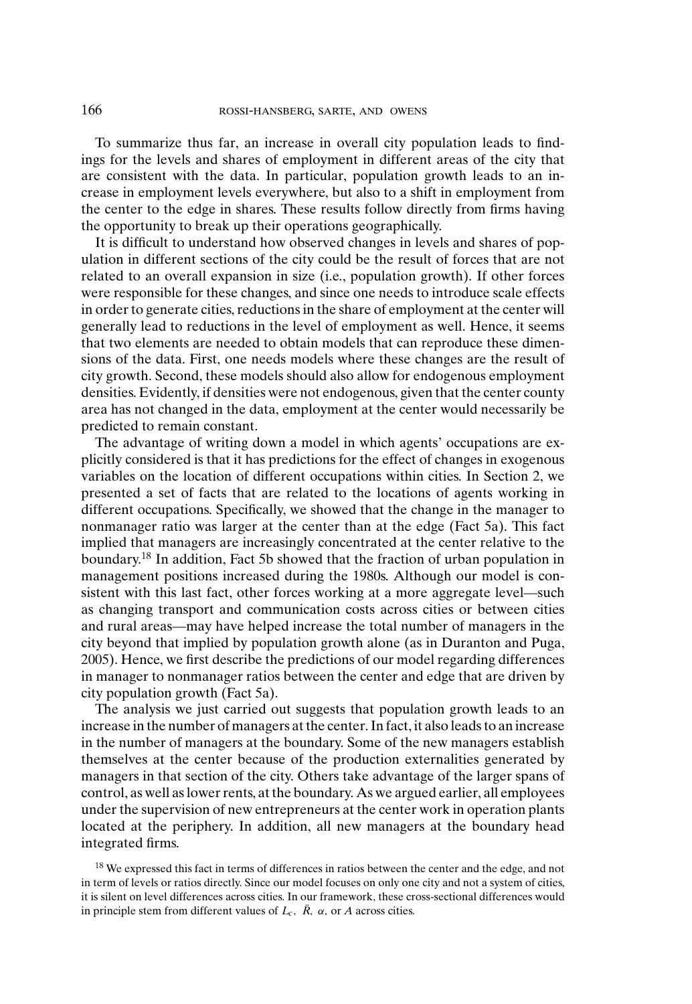To summarize thus far, an increase in overall city population leads to findings for the levels and shares of employment in different areas of the city that are consistent with the data. In particular, population growth leads to an increase in employment levels everywhere, but also to a shift in employment from the center to the edge in shares. These results follow directly from firms having the opportunity to break up their operations geographically.

It is difficult to understand how observed changes in levels and shares of population in different sections of the city could be the result of forces that are not related to an overall expansion in size (i.e., population growth). If other forces were responsible for these changes, and since one needs to introduce scale effects in order to generate cities, reductions in the share of employment at the center will generally lead to reductions in the level of employment as well. Hence, it seems that two elements are needed to obtain models that can reproduce these dimensions of the data. First, one needs models where these changes are the result of city growth. Second, these models should also allow for endogenous employment densities. Evidently, if densities were not endogenous, given that the center county area has not changed in the data, employment at the center would necessarily be predicted to remain constant.

The advantage of writing down a model in which agents' occupations are explicitly considered is that it has predictions for the effect of changes in exogenous variables on the location of different occupations within cities. In Section 2, we presented a set of facts that are related to the locations of agents working in different occupations. Specifically, we showed that the change in the manager to nonmanager ratio was larger at the center than at the edge (Fact 5a). This fact implied that managers are increasingly concentrated at the center relative to the boundary.<sup>18</sup> In addition, Fact 5b showed that the fraction of urban population in management positions increased during the 1980s. Although our model is consistent with this last fact, other forces working at a more aggregate level—such as changing transport and communication costs across cities or between cities and rural areas—may have helped increase the total number of managers in the city beyond that implied by population growth alone (as in Duranton and Puga, 2005). Hence, we first describe the predictions of our model regarding differences in manager to nonmanager ratios between the center and edge that are driven by city population growth (Fact 5a).

The analysis we just carried out suggests that population growth leads to an increase in the number of managers at the center. In fact, it also leads to an increase in the number of managers at the boundary. Some of the new managers establish themselves at the center because of the production externalities generated by managers in that section of the city. Others take advantage of the larger spans of control, as well as lower rents, at the boundary. As we argued earlier, all employees under the supervision of new entrepreneurs at the center work in operation plants located at the periphery. In addition, all new managers at the boundary head integrated firms.

<sup>&</sup>lt;sup>18</sup> We expressed this fact in terms of differences in ratios between the center and the edge, and not in term of levels or ratios directly. Since our model focuses on only one city and not a system of cities, it is silent on level differences across cities. In our framework, these cross-sectional differences would in principle stem from different values of  $L_c$ ,  $\bar{R}$ ,  $\alpha$ , or *A* across cities.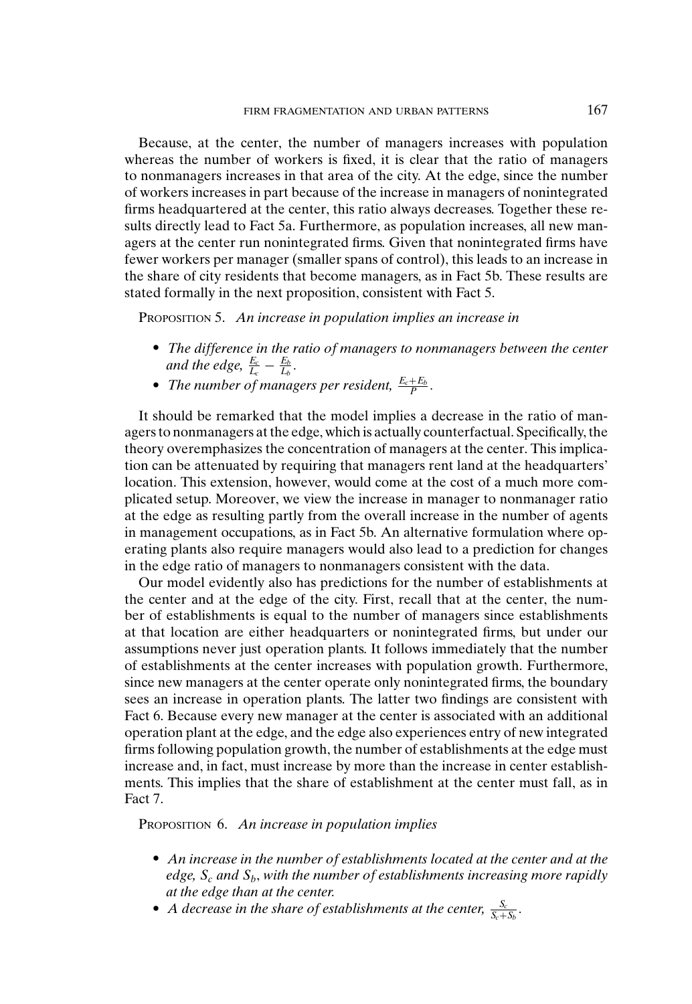Because, at the center, the number of managers increases with population whereas the number of workers is fixed, it is clear that the ratio of managers to nonmanagers increases in that area of the city. At the edge, since the number of workers increases in part because of the increase in managers of nonintegrated firms headquartered at the center, this ratio always decreases. Together these results directly lead to Fact 5a. Furthermore, as population increases, all new managers at the center run nonintegrated firms. Given that nonintegrated firms have fewer workers per manager (smaller spans of control), this leads to an increase in the share of city residents that become managers, as in Fact 5b. These results are stated formally in the next proposition, consistent with Fact 5.

PROPOSITION 5. *An increase in population implies an increase in*

- *The difference in the ratio of managers to nonmanagers between the center* and the edge,  $\frac{E_c}{L_c} - \frac{E_b}{L_b}$ .
- *The number of managers per resident,*  $\frac{E_c + E_b}{P}$ .

It should be remarked that the model implies a decrease in the ratio of managers to nonmanagers at the edge, which is actually counterfactual. Specifically, the theory overemphasizes the concentration of managers at the center. This implication can be attenuated by requiring that managers rent land at the headquarters' location. This extension, however, would come at the cost of a much more complicated setup. Moreover, we view the increase in manager to nonmanager ratio at the edge as resulting partly from the overall increase in the number of agents in management occupations, as in Fact 5b. An alternative formulation where operating plants also require managers would also lead to a prediction for changes in the edge ratio of managers to nonmanagers consistent with the data.

Our model evidently also has predictions for the number of establishments at the center and at the edge of the city. First, recall that at the center, the number of establishments is equal to the number of managers since establishments at that location are either headquarters or nonintegrated firms, but under our assumptions never just operation plants. It follows immediately that the number of establishments at the center increases with population growth. Furthermore, since new managers at the center operate only nonintegrated firms, the boundary sees an increase in operation plants. The latter two findings are consistent with Fact 6. Because every new manager at the center is associated with an additional operation plant at the edge, and the edge also experiences entry of new integrated firms following population growth, the number of establishments at the edge must increase and, in fact, must increase by more than the increase in center establishments. This implies that the share of establishment at the center must fall, as in Fact 7.

PROPOSITION 6. *An increase in population implies*

- *An increase in the number of establishments located at the center and at the edge, Sc and Sb*, *with the number of establishments increasing more rapidly at the edge than at the center.*
- *A decrease in the share of establishments at the center,*  $\frac{S_c}{S_c+S_b}$ .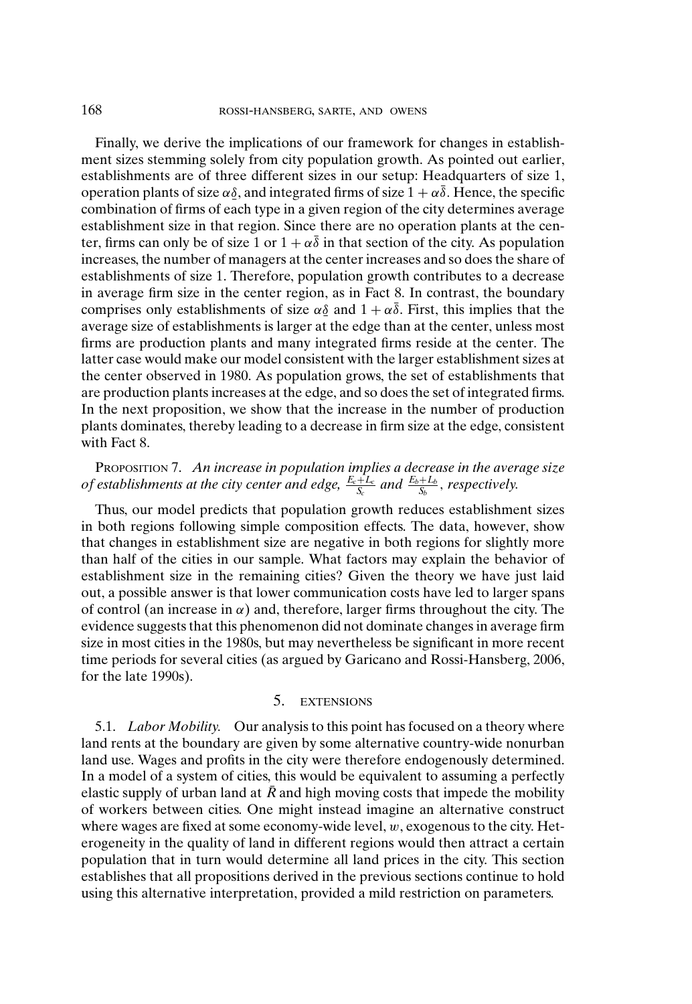Finally, we derive the implications of our framework for changes in establishment sizes stemming solely from city population growth. As pointed out earlier, establishments are of three different sizes in our setup: Headquarters of size 1, operation plants of size  $\alpha \delta$ , and integrated firms of size  $1 + \alpha \bar{\delta}$ . Hence, the specific ¯ combination of firms of each type in a given region of the city determines average establishment size in that region. Since there are no operation plants at the center, firms can only be of size 1 or  $1 + \alpha \overline{\delta}$  in that section of the city. As population increases, the number of managers at the center increases and so does the share of establishments of size 1. Therefore, population growth contributes to a decrease in average firm size in the center region, as in Fact 8. In contrast, the boundary comprises only establishments of size  $\alpha \delta$  and  $1 + \alpha \bar{\delta}$ . First, this implies that the average size of establishments is larger at the edge than at the center, unless most firms are production plants and many integrated firms reside at the center. The latter case would make our model consistent with the larger establishment sizes at the center observed in 1980. As population grows, the set of establishments that are production plants increases at the edge, and so does the set of integrated firms. In the next proposition, we show that the increase in the number of production plants dominates, thereby leading to a decrease in firm size at the edge, consistent with Fact 8.

PROPOSITION 7. *An increase in population implies a decrease in the average size of establishments at the city center and edge,*  $\frac{E_c + I_c}{S_c}$  *and*  $\frac{E_b + I_b}{S_b}$ *, respectively.* 

Thus, our model predicts that population growth reduces establishment sizes in both regions following simple composition effects. The data, however, show that changes in establishment size are negative in both regions for slightly more than half of the cities in our sample. What factors may explain the behavior of establishment size in the remaining cities? Given the theory we have just laid out, a possible answer is that lower communication costs have led to larger spans of control (an increase in  $\alpha$ ) and, therefore, larger firms throughout the city. The evidence suggests that this phenomenon did not dominate changes in average firm size in most cities in the 1980s, but may nevertheless be significant in more recent time periods for several cities (as argued by Garicano and Rossi-Hansberg, 2006, for the late 1990s).

# 5. EXTENSIONS

5.1. *Labor Mobility.* Our analysis to this point has focused on a theory where land rents at the boundary are given by some alternative country-wide nonurban land use. Wages and profits in the city were therefore endogenously determined. In a model of a system of cities, this would be equivalent to assuming a perfectly elastic supply of urban land at  $\bar{R}$  and high moving costs that impede the mobility of workers between cities. One might instead imagine an alternative construct where wages are fixed at some economy-wide level,  $w$ , exogenous to the city. Heterogeneity in the quality of land in different regions would then attract a certain population that in turn would determine all land prices in the city. This section establishes that all propositions derived in the previous sections continue to hold using this alternative interpretation, provided a mild restriction on parameters.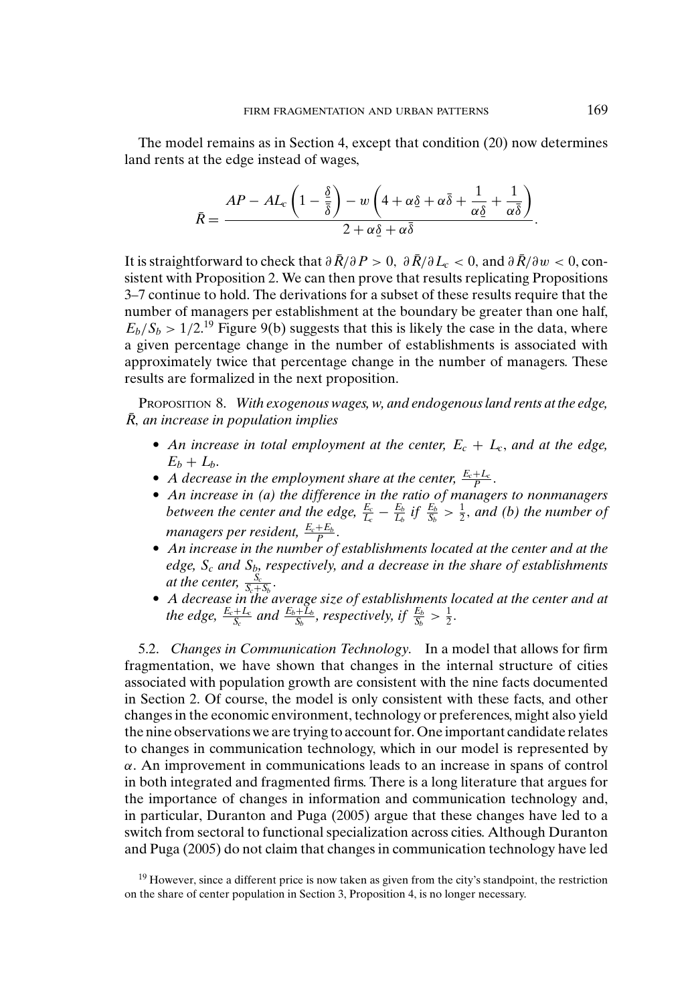The model remains as in Section 4, except that condition (20) now determines land rents at the edge instead of wages,

$$
\bar{R} = \frac{AP - AL_c \left(1 - \frac{\delta}{\bar{\delta}}\right) - w \left(4 + \alpha \delta + \alpha \bar{\delta} + \frac{1}{\alpha \bar{\delta}} + \frac{1}{\alpha \bar{\delta}}\right)}{2 + \alpha \delta + \alpha \bar{\delta}}.
$$

It is straightforward to check that  $\partial \bar{R}/\partial P > 0$ ,  $\partial \bar{R}/\partial L_c < 0$ , and  $\partial \bar{R}/\partial w < 0$ , consistent with Proposition 2. We can then prove that results replicating Propositions 3–7 continue to hold. The derivations for a subset of these results require that the number of managers per establishment at the boundary be greater than one half,  $E_b/S_b > 1/2$ .<sup>19</sup> Figure 9(b) suggests that this is likely the case in the data, where a given percentage change in the number of establishments is associated with approximately twice that percentage change in the number of managers. These results are formalized in the next proposition.

PROPOSITION 8. *With exogenous wages, w, and endogenous land rents at the edge, R*¯, *an increase in population implies*

- An increase in total employment at the center,  $E_c + L_c$ , and at the edge, *E<sub>b</sub>* + *L<sub>b</sub>*. <br>
• *A decrease in the employment share at the center,*  $\frac{E_c + L_c}{P}$ .
- 
- *P* A decrease in the employment share at the center,  $\frac{E_c + L_c}{P}$ .<br>*P* An increase in (a) the difference in the ratio of managers to nonmanagers *between the center and the edge,*  $\frac{E_c}{L_c} - \frac{E_b}{L_b}$  *if*  $\frac{E_b}{S_b} > \frac{1}{2}$ *, and (b) the number of managers per resident, Ec*+*Eb <sup>P</sup>* . *An increase in the number of establishments located at the center and at the*
- *edge, Sc and Sb, respectively, and a decrease in the share of establishments at the center,*  $\frac{S_c}{S_c+S_b}$ .
- *A decrease in the average size of establishments located at the center and at the edge,*  $\frac{E_c + L_c}{S_c}$  *and*  $\frac{E_b + \bar{L}_b}{S_b}$ *, respectively, if*  $\frac{E_b}{S_b} > \frac{1}{2}$ *.*

5.2. *Changes in Communication Technology.* In a model that allows for firm fragmentation, we have shown that changes in the internal structure of cities associated with population growth are consistent with the nine facts documented in Section 2. Of course, the model is only consistent with these facts, and other changes in the economic environment, technology or preferences, might also yield the nine observations we are trying to account for. One important candidate relates to changes in communication technology, which in our model is represented by  $\alpha$ . An improvement in communications leads to an increase in spans of control in both integrated and fragmented firms. There is a long literature that argues for the importance of changes in information and communication technology and, in particular, Duranton and Puga (2005) argue that these changes have led to a switch from sectoral to functional specialization across cities. Although Duranton and Puga (2005) do not claim that changes in communication technology have led

<sup>&</sup>lt;sup>19</sup> However, since a different price is now taken as given from the city's standpoint, the restriction on the share of center population in Section 3, Proposition 4, is no longer necessary.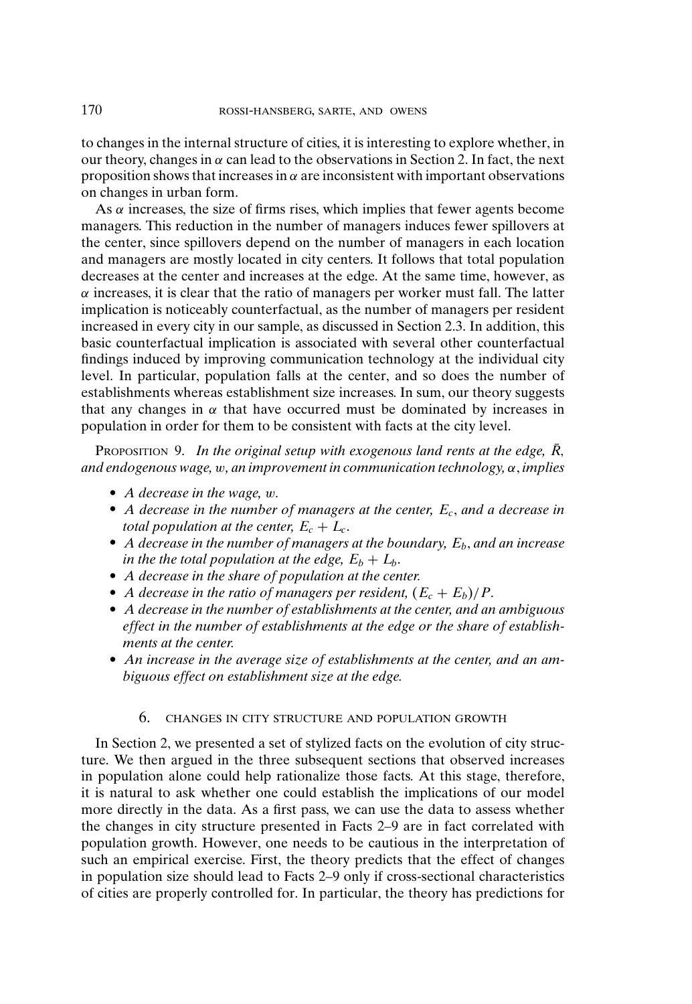to changes in the internal structure of cities, it is interesting to explore whether, in our theory, changes in  $\alpha$  can lead to the observations in Section 2. In fact, the next proposition shows that increases in  $\alpha$  are inconsistent with important observations on changes in urban form.

As  $\alpha$  increases, the size of firms rises, which implies that fewer agents become managers. This reduction in the number of managers induces fewer spillovers at the center, since spillovers depend on the number of managers in each location and managers are mostly located in city centers. It follows that total population decreases at the center and increases at the edge. At the same time, however, as  $\alpha$  increases, it is clear that the ratio of managers per worker must fall. The latter implication is noticeably counterfactual, as the number of managers per resident increased in every city in our sample, as discussed in Section 2.3. In addition, this basic counterfactual implication is associated with several other counterfactual findings induced by improving communication technology at the individual city level. In particular, population falls at the center, and so does the number of establishments whereas establishment size increases. In sum, our theory suggests that any changes in  $\alpha$  that have occurred must be dominated by increases in population in order for them to be consistent with facts at the city level.

PROPOSITION 9. *In the original setup with exogenous land rents at the edge,*  $\bar{R}$ , *and endogenous wage,* w*, an improvement in communication technology,* α, *implies*

- 
- *A decrease in the wage,* <sup>w</sup>*. A decrease in the number of managers at the center, Ec*, *and a decrease in total population at the center,*  $E_c + L_c$ .<br>
• A decrease in the number of managers at the boundary,  $E_b$ , and an increase
- *in the the total population at the edge,*  $E_b + L_b$ .<br>
 A decrease in the share of population at the center.
- 
- 
- *A decrease in the ratio of managers per resident,*  $(E_c + E_b)/P$ .<br>
 *A decrease in the number of establishments at the center, and an ambiguous effect in the number of establishments at the edge or the share of establishments at the center.*
- *An increase in the average size of establishments at the center, and an ambiguous effect on establishment size at the edge.*

# 6. CHANGES IN CITY STRUCTURE AND POPULATION GROWTH

In Section 2, we presented a set of stylized facts on the evolution of city structure. We then argued in the three subsequent sections that observed increases in population alone could help rationalize those facts. At this stage, therefore, it is natural to ask whether one could establish the implications of our model more directly in the data. As a first pass, we can use the data to assess whether the changes in city structure presented in Facts 2–9 are in fact correlated with population growth. However, one needs to be cautious in the interpretation of such an empirical exercise. First, the theory predicts that the effect of changes in population size should lead to Facts 2–9 only if cross-sectional characteristics of cities are properly controlled for. In particular, the theory has predictions for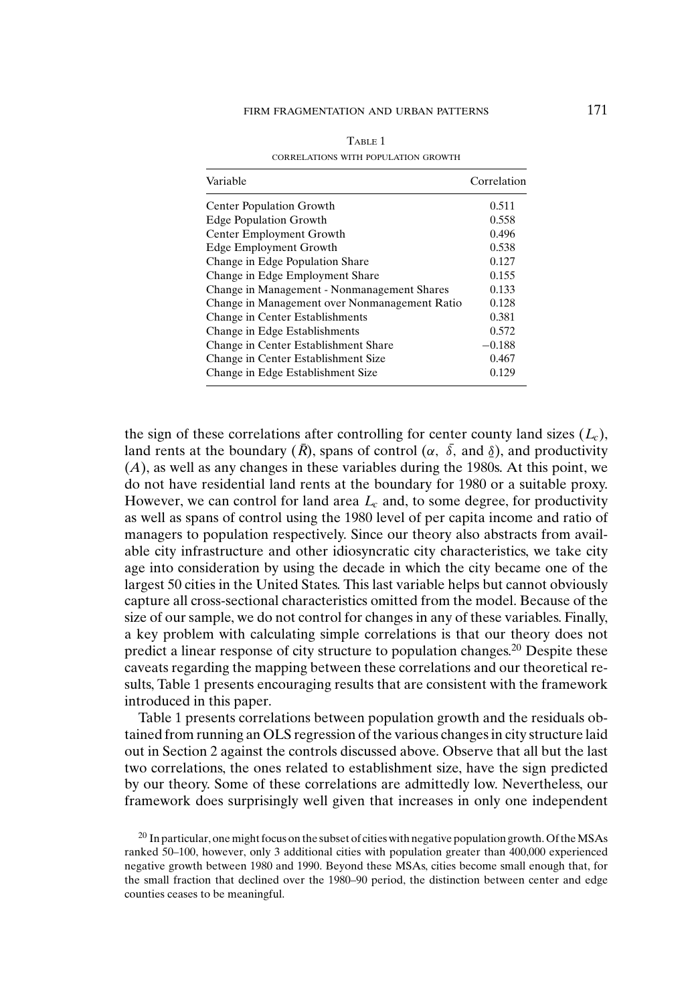| Variable                                      | Correlation |
|-----------------------------------------------|-------------|
| Center Population Growth                      | 0.511       |
| <b>Edge Population Growth</b>                 | 0.558       |
| Center Employment Growth                      | 0.496       |
| Edge Employment Growth                        | 0.538       |
| Change in Edge Population Share               | 0.127       |
| Change in Edge Employment Share               | 0.155       |
| Change in Management - Nonmanagement Shares   | 0.133       |
| Change in Management over Nonmanagement Ratio | 0.128       |
| Change in Center Establishments               | 0.381       |
| Change in Edge Establishments                 | 0.572       |
| Change in Center Establishment Share          | $-0.188$    |
| Change in Center Establishment Size           | 0.467       |
| Change in Edge Establishment Size             | 0.129       |

TABLE 1 CORRELATIONS WITH POPULATION GROWTH

the sign of these correlations after controlling for center county land sizes  $(L_c)$ , land rents at the boundary  $(\bar{R})$ , spans of control  $(\alpha, \bar{\delta}, \text{ and } \underline{\delta})$ , and productivity  $(A)$ , as well as any changes in these variables during the 1980s. At this point, we do not have residential land rents at the boundary for 1980 or a suitable proxy. However, we can control for land area  $L_c$  and, to some degree, for productivity as well as spans of control using the 1980 level of per capita income and ratio of managers to population respectively. Since our theory also abstracts from available city infrastructure and other idiosyncratic city characteristics, we take city age into consideration by using the decade in which the city became one of the largest 50 cities in the United States. This last variable helps but cannot obviously capture all cross-sectional characteristics omitted from the model. Because of the size of our sample, we do not control for changes in any of these variables. Finally, a key problem with calculating simple correlations is that our theory does not predict a linear response of city structure to population changes.<sup>20</sup> Despite these caveats regarding the mapping between these correlations and our theoretical results, Table 1 presents encouraging results that are consistent with the framework introduced in this paper.

Table 1 presents correlations between population growth and the residuals obtained from running an OLS regression of the various changes in city structure laid out in Section 2 against the controls discussed above. Observe that all but the last two correlations, the ones related to establishment size, have the sign predicted by our theory. Some of these correlations are admittedly low. Nevertheless, our framework does surprisingly well given that increases in only one independent

 $^{20}$  In particular, one might focus on the subset of cities with negative population growth. Of the MSAs ranked 50–100, however, only 3 additional cities with population greater than 400,000 experienced negative growth between 1980 and 1990. Beyond these MSAs, cities become small enough that, for the small fraction that declined over the 1980–90 period, the distinction between center and edge counties ceases to be meaningful.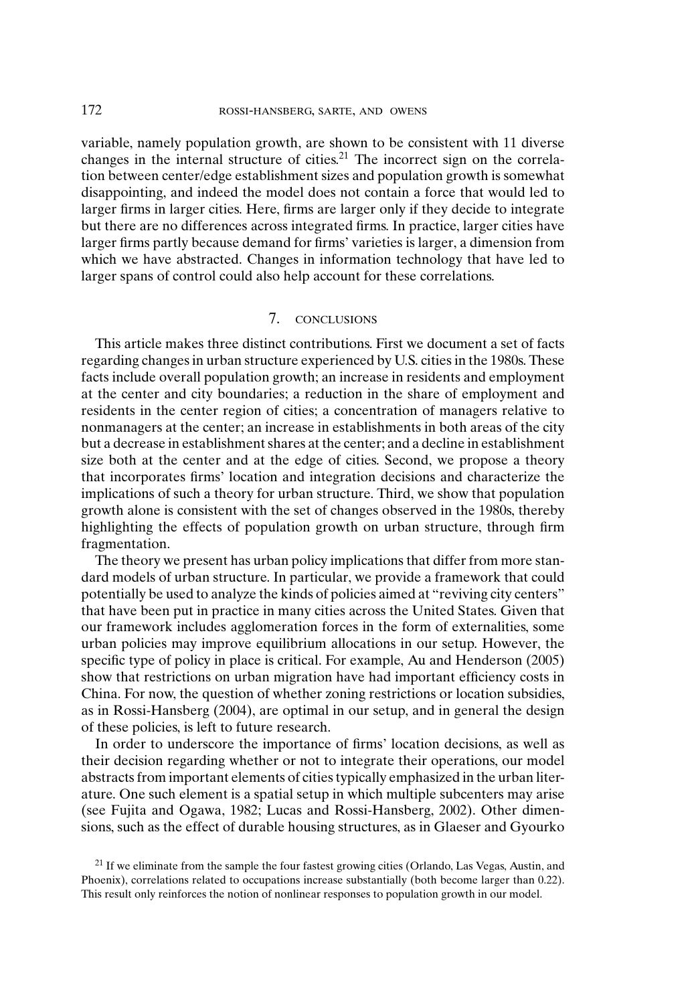variable, namely population growth, are shown to be consistent with 11 diverse changes in the internal structure of cities.<sup>21</sup> The incorrect sign on the correlation between center/edge establishment sizes and population growth is somewhat disappointing, and indeed the model does not contain a force that would led to larger firms in larger cities. Here, firms are larger only if they decide to integrate but there are no differences across integrated firms. In practice, larger cities have larger firms partly because demand for firms' varieties is larger, a dimension from which we have abstracted. Changes in information technology that have led to larger spans of control could also help account for these correlations.

# 7. CONCLUSIONS

This article makes three distinct contributions. First we document a set of facts regarding changes in urban structure experienced by U.S. cities in the 1980s. These facts include overall population growth; an increase in residents and employment at the center and city boundaries; a reduction in the share of employment and residents in the center region of cities; a concentration of managers relative to nonmanagers at the center; an increase in establishments in both areas of the city but a decrease in establishment shares at the center; and a decline in establishment size both at the center and at the edge of cities. Second, we propose a theory that incorporates firms' location and integration decisions and characterize the implications of such a theory for urban structure. Third, we show that population growth alone is consistent with the set of changes observed in the 1980s, thereby highlighting the effects of population growth on urban structure, through firm fragmentation.

The theory we present has urban policy implications that differ from more standard models of urban structure. In particular, we provide a framework that could potentially be used to analyze the kinds of policies aimed at "reviving city centers" that have been put in practice in many cities across the United States. Given that our framework includes agglomeration forces in the form of externalities, some urban policies may improve equilibrium allocations in our setup. However, the specific type of policy in place is critical. For example, Au and Henderson (2005) show that restrictions on urban migration have had important efficiency costs in China. For now, the question of whether zoning restrictions or location subsidies, as in Rossi-Hansberg (2004), are optimal in our setup, and in general the design of these policies, is left to future research.

In order to underscore the importance of firms' location decisions, as well as their decision regarding whether or not to integrate their operations, our model abstracts from important elements of cities typically emphasized in the urban literature. One such element is a spatial setup in which multiple subcenters may arise (see Fujita and Ogawa, 1982; Lucas and Rossi-Hansberg, 2002). Other dimensions, such as the effect of durable housing structures, as in Glaeser and Gyourko

<sup>&</sup>lt;sup>21</sup> If we eliminate from the sample the four fastest growing cities (Orlando, Las Vegas, Austin, and Phoenix), correlations related to occupations increase substantially (both become larger than 0.22). This result only reinforces the notion of nonlinear responses to population growth in our model.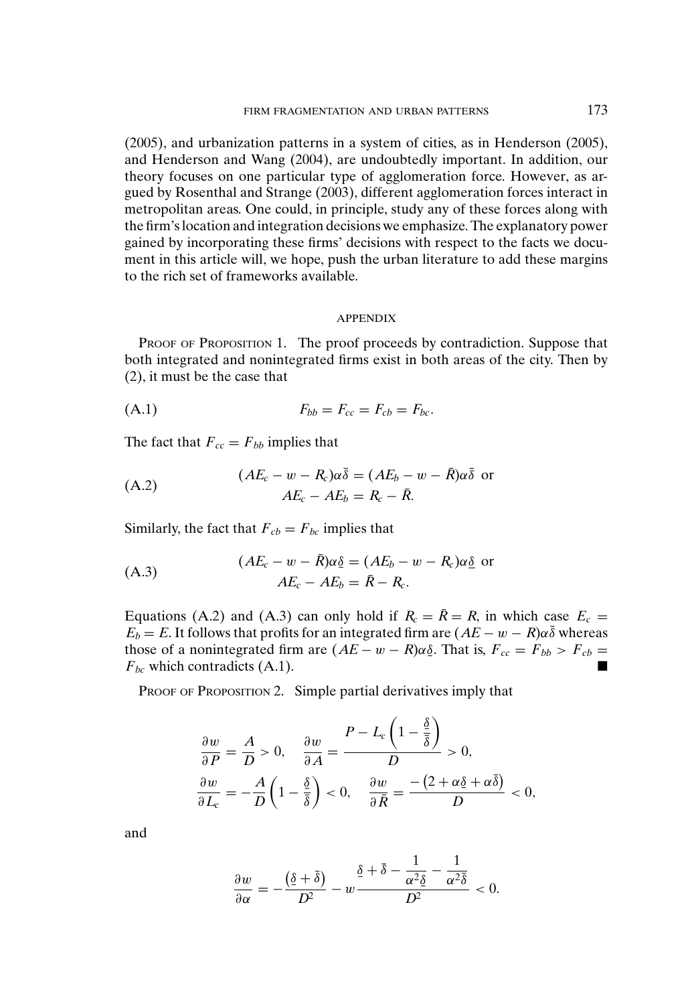(2005), and urbanization patterns in a system of cities, as in Henderson (2005), and Henderson and Wang (2004), are undoubtedly important. In addition, our theory focuses on one particular type of agglomeration force. However, as argued by Rosenthal and Strange (2003), different agglomeration forces interact in metropolitan areas. One could, in principle, study any of these forces along with the firm's location and integration decisions we emphasize. The explanatory power gained by incorporating these firms' decisions with respect to the facts we document in this article will, we hope, push the urban literature to add these margins to the rich set of frameworks available.

### APPENDIX

PROOF OF PROPOSITION 1. The proof proceeds by contradiction. Suppose that both integrated and nonintegrated firms exist in both areas of the city. Then by (2), it must be the case that

(A.1) 
$$
F_{bb} = F_{cc} = F_{cb} = F_{bc}.
$$

The fact that  $F_{cc} = F_{bb}$  implies that

(A.2) 
$$
(AE_c - w - R_c)\alpha \overline{\delta} = (AE_b - w - \overline{R})\alpha \overline{\delta} \text{ or } AE_c - AE_b = R_c - \overline{R}.
$$

Similarly, the fact that  $F_{cb} = F_{bc}$  implies that

(A.3) 
$$
(AE_c - w - \bar{R})\alpha \underline{\delta} = (AE_b - w - R_c)\alpha \underline{\delta} \text{ or } AE_c - AE_b = \bar{R} - R_c.
$$

Equations (A.2) and (A.3) can only hold if  $R_c = \overline{R} = R$ , in which case  $E_c =$  $E_b = E$ . It follows that profits for an integrated firm are  $(AE - w - R)\alpha\overline{\delta}$  whereas those of a nonintegrated firm are  $(AE - w - R)\alpha \delta$ . That is,  $F_{cc} = F_{bb} > F_{cb} = F_c$ , which contradicts  $(A, 1)$  $F_{bc}$  which contradicts  $(A.1)$ .

PROOF OF PROPOSITION 2. Simple partial derivatives imply that

$$
\frac{\partial w}{\partial P} = \frac{A}{D} > 0, \quad \frac{\partial w}{\partial A} = \frac{P - L_c \left(1 - \frac{\delta}{\overline{\delta}}\right)}{D} > 0,
$$

$$
\frac{\partial w}{\partial L_c} = -\frac{A}{D} \left(1 - \frac{\delta}{\overline{\delta}}\right) < 0, \quad \frac{\partial w}{\partial \overline{R}} = \frac{-(2 + \alpha \delta + \alpha \overline{\delta})}{D} < 0,
$$

and

$$
\frac{\partial w}{\partial \alpha} = -\frac{(\underline{\delta} + \overline{\delta})}{D^2} - w \frac{\underline{\delta} + \overline{\delta} - \frac{1}{\alpha^2 \underline{\delta}} - \frac{1}{\alpha^2 \overline{\delta}}}{D^2} < 0.
$$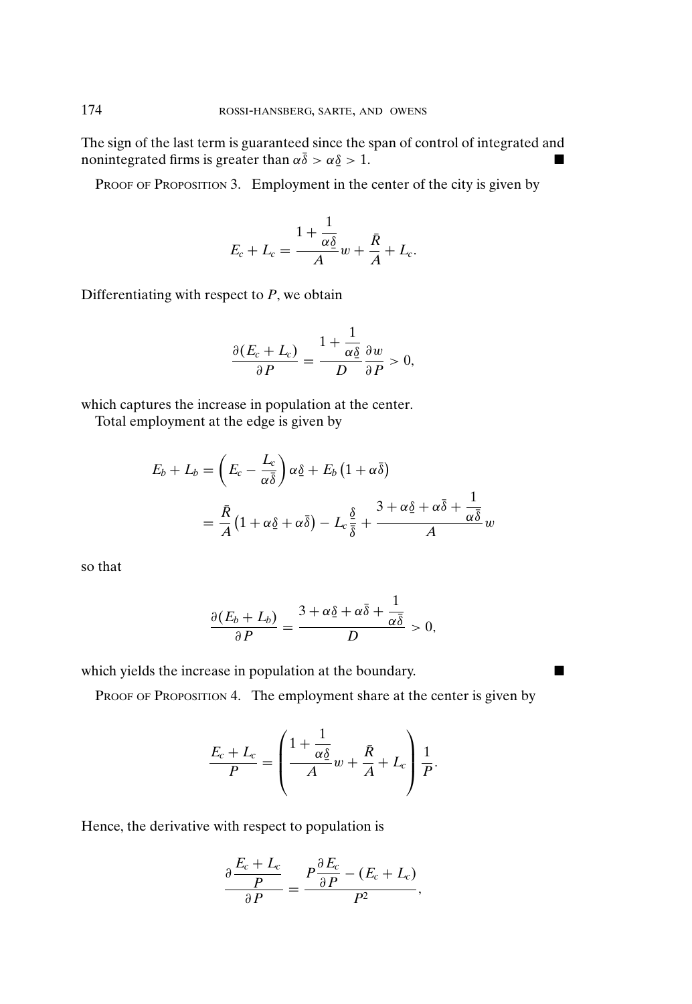The sign of the last term is guaranteed since the span of control of integrated and nonintegrated firms is greater than  $\alpha \bar{\delta} > \alpha \underline{\delta} > 1$ .

PROOF OF PROPOSITION 3. Employment in the center of the city is given by

$$
E_c + L_c = \frac{1 + \frac{1}{\alpha \underline{\delta}}}{A} w + \frac{\bar{R}}{A} + L_c.
$$

Differentiating with respect to *P*, we obtain

$$
\frac{\partial (E_c + L_c)}{\partial P} = \frac{1 + \frac{1}{\alpha \delta}}{D} \frac{\partial w}{\partial P} > 0,
$$

which captures the increase in population at the center.

Total employment at the edge is given by

$$
E_b + L_b = \left(E_c - \frac{L_c}{\alpha \bar{\delta}}\right) \alpha \underline{\delta} + E_b \left(1 + \alpha \bar{\delta}\right)
$$
  
=  $\frac{\bar{R}}{A} \left(1 + \alpha \underline{\delta} + \alpha \bar{\delta}\right) - L_c \frac{\underline{\delta}}{\bar{\delta}} + \frac{3 + \alpha \underline{\delta} + \alpha \bar{\delta} + \frac{1}{\alpha \bar{\delta}}}{A} w$ 

so that

$$
\frac{\partial (E_b + L_b)}{\partial P} = \frac{3 + \alpha \underline{\delta} + \alpha \overline{\delta} + \frac{1}{\alpha \overline{\delta}}}{D} > 0,
$$

which yields the increase in population at the boundary.

PROOF OF PROPOSITION 4. The employment share at the center is given by

$$
\frac{E_c + L_c}{P} = \left(\frac{1 + \frac{1}{\alpha \underline{\delta}}}{A} w + \frac{\overline{R}}{A} + L_c\right) \frac{1}{P}.
$$

Hence, the derivative with respect to population is

$$
\frac{\partial \frac{E_c + L_c}{P}}{\partial P} = \frac{P \frac{\partial E_c}{\partial P} - (E_c + L_c)}{P^2},
$$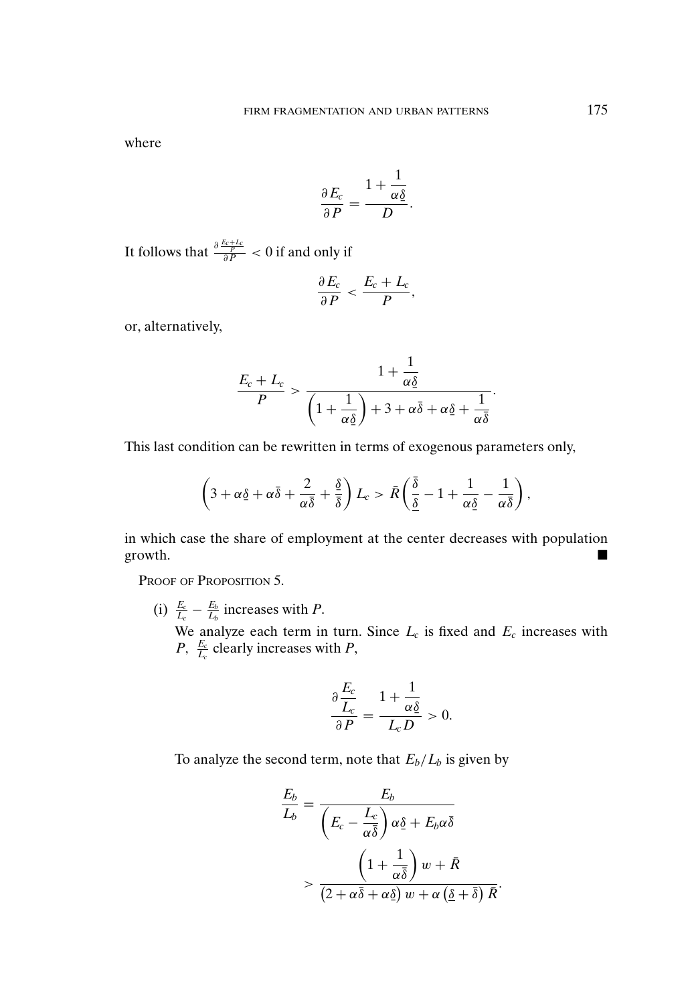where

$$
\frac{\partial E_c}{\partial P} = \frac{1 + \frac{1}{\alpha \underline{\delta}}}{D}.
$$

It follows that  $\frac{\partial \frac{E_c + L_c}{\partial P}}{\partial P} < 0$  if and only if

$$
\frac{\partial E_c}{\partial P} < \frac{E_c + L_c}{P},
$$

or, alternatively,

$$
\frac{E_c + L_c}{P} > \frac{1 + \frac{1}{\alpha \delta}}{\left(1 + \frac{1}{\alpha \delta}\right) + 3 + \alpha \bar{\delta} + \alpha \delta + \frac{1}{\alpha \bar{\delta}}}.
$$

This last condition can be rewritten in terms of exogenous parameters only,

$$
\left(3+\alpha \underline{\delta}+\alpha \overline{\delta}+\frac{2}{\alpha \overline{\delta}}+\frac{\underline{\delta}}{\overline{\delta}}\right)L_c > \bar{R}\left(\frac{\overline{\delta}}{\underline{\delta}}-1+\frac{1}{\alpha \underline{\delta}}-\frac{1}{\alpha \overline{\delta}}\right),
$$

in which case the share of employment at the center decreases with population growth.

PROOF OF PROPOSITION 5.

(i)  $\frac{E_c}{L_c} - \frac{E_b}{L_b}$  increases with *P*. We analyze each term in turn. Since  $L_c$  is fixed and  $E_c$  increases with *P*,  $\frac{E_c}{L_c}$  clearly increases with *P*,

$$
\frac{\partial \frac{E_c}{L_c}}{\partial P} = \frac{1 + \frac{1}{\alpha \underline{\delta}}}{L_c D} > 0.
$$

To analyze the second term, note that  $E_b/L_b$  is given by

$$
\frac{E_b}{L_b} = \frac{E_b}{\left(E_c - \frac{L_c}{\alpha \overline{\delta}}\right) \alpha \delta + E_b \alpha \overline{\delta}}
$$
\n
$$
> \frac{\left(1 + \frac{1}{\alpha \overline{\delta}}\right) w + \overline{R}}{\left(2 + \alpha \overline{\delta} + \alpha \delta\right) w + \alpha \left(\delta + \overline{\delta}\right) \overline{R}}.
$$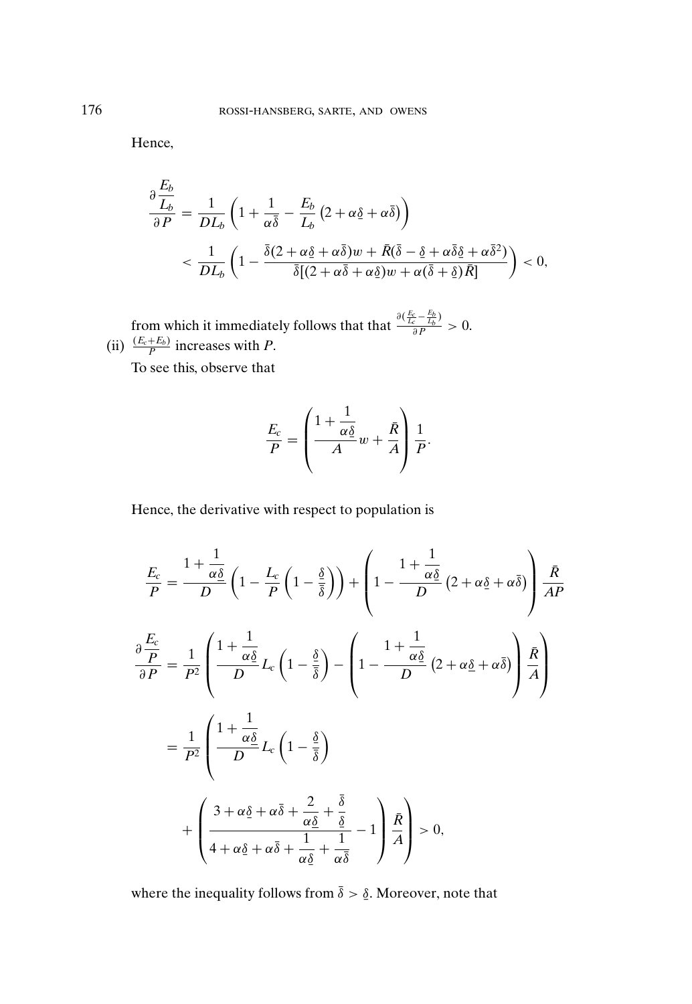Hence,

$$
\frac{\partial \frac{E_b}{L_b}}{\partial P} = \frac{1}{DL_b} \left( 1 + \frac{1}{\alpha \bar{\delta}} - \frac{E_b}{L_b} \left( 2 + \alpha \underline{\delta} + \alpha \bar{\delta} \right) \right) \n< \frac{1}{DL_b} \left( 1 - \frac{\bar{\delta} (2 + \alpha \underline{\delta} + \alpha \bar{\delta}) w + \bar{R} (\bar{\delta} - \underline{\delta} + \alpha \bar{\delta} \underline{\delta} + \alpha \bar{\delta}^2)}{\bar{\delta} [(2 + \alpha \bar{\delta} + \alpha \underline{\delta}) w + \alpha (\bar{\delta} + \underline{\delta}) \bar{R}]} \right) < 0,
$$

from which it immediately follows that that  $\frac{\partial (\frac{F_c}{E_c} - \frac{E_b}{L_b})}{\partial P} > 0$ . (ii)  $\frac{(E_c + E_b)}{P}$  increases with *P*.

To see this, observe that

$$
\frac{E_c}{P} = \left(\frac{1 + \frac{1}{\alpha \underline{\delta}}}{A} w + \frac{\overline{R}}{A}\right) \frac{1}{P}.
$$

Hence, the derivative with respect to population is

$$
\frac{E_c}{P} = \frac{1 + \frac{1}{\alpha \underline{\delta}}}{D} \left( 1 - \frac{L_c}{P} \left( 1 - \frac{\underline{\delta}}{\overline{\delta}} \right) \right) + \left( 1 - \frac{1 + \frac{1}{\alpha \underline{\delta}}}{D} \left( 2 + \alpha \underline{\delta} + \alpha \overline{\delta} \right) \right) \frac{\overline{R}}{AP}
$$
\n
$$
\frac{\partial \frac{E_c}{P}}{\partial P} = \frac{1}{P^2} \left( \frac{1 + \frac{1}{\alpha \underline{\delta}}}{D} L_c \left( 1 - \frac{\underline{\delta}}{\overline{\delta}} \right) - \left( 1 - \frac{1 + \frac{1}{\alpha \underline{\delta}}}{D} \left( 2 + \alpha \underline{\delta} + \alpha \overline{\delta} \right) \right) \frac{\overline{R}}{A} \right)
$$
\n
$$
= \frac{1}{P^2} \left( \frac{1 + \frac{1}{\alpha \underline{\delta}}}{D} L_c \left( 1 - \frac{\underline{\delta}}{\overline{\delta}} \right)
$$
\n
$$
+ \left( \frac{3 + \alpha \underline{\delta} + \alpha \overline{\delta} + \frac{2}{\alpha \underline{\delta}} + \frac{\overline{\delta}}{\alpha \underline{\delta}}}{4 + \alpha \underline{\delta} + \alpha \overline{\delta} + \frac{1}{\alpha \underline{\delta}} + \frac{1}{\alpha \overline{\delta}} + \frac{1}{\alpha \overline{\delta}} + \frac{1}{\alpha \overline{\delta}} \right) > 0,
$$

where the inequality follows from  $\bar{\delta} > \underline{\delta}$ . Moreover, note that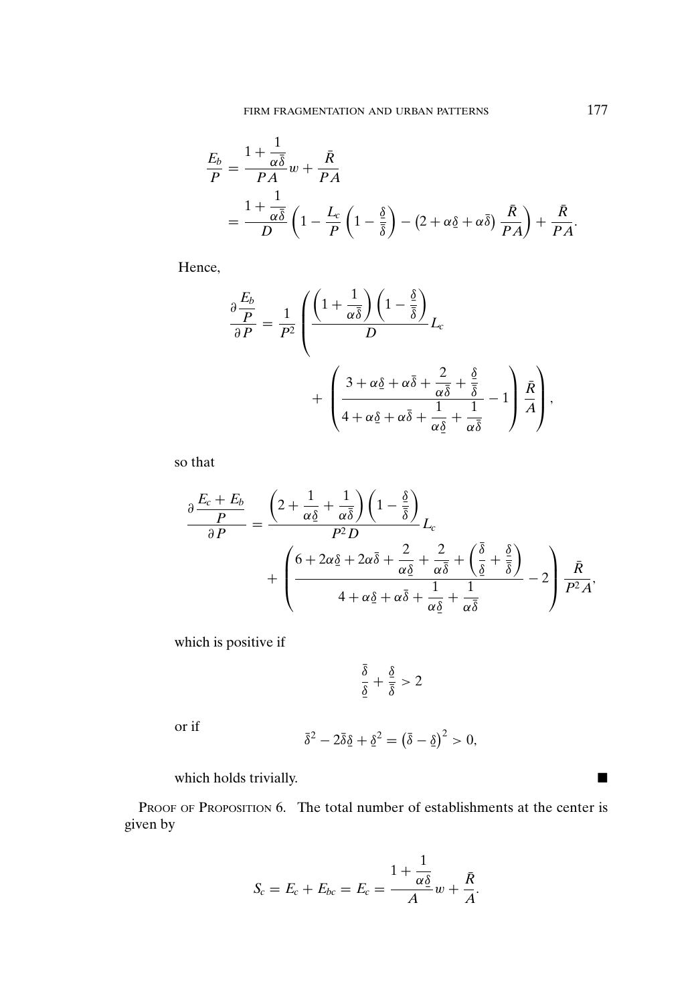$$
\frac{E_b}{P} = \frac{1 + \frac{1}{\alpha \bar{\delta}}}{PA} w + \frac{\bar{R}}{PA}
$$
  
= 
$$
\frac{1 + \frac{1}{\alpha \bar{\delta}}}{D} \left( 1 - \frac{L_c}{P} \left( 1 - \frac{\delta}{\bar{\delta}} \right) - \left( 2 + \alpha \delta + \alpha \bar{\delta} \right) \frac{\bar{R}}{PA} \right) + \frac{\bar{R}}{PA}.
$$

Hence,

$$
\frac{\partial \frac{E_b}{P}}{\partial P} = \frac{1}{P^2} \left( \frac{\left(1 + \frac{1}{\alpha \overline{\delta}}\right)\left(1 - \frac{\delta}{\overline{\delta}}\right)}{D} L_c + \left( \frac{3 + \alpha \delta + \alpha \overline{\delta} + \frac{2}{\alpha \overline{\delta}} + \frac{\delta}{\overline{\delta}}}{4 + \alpha \delta + \alpha \overline{\delta} + \frac{1}{\alpha \overline{\delta}} + \frac{1}{\alpha \overline{\delta}} - 1 \right) \frac{\overline{R}}{A} \right),
$$

so that

$$
\frac{\partial \frac{E_c + E_b}{P}}{\partial P} = \frac{\left(2 + \frac{1}{\alpha \delta} + \frac{1}{\alpha \overline{\delta}}\right)\left(1 - \frac{\delta}{\overline{\delta}}\right)}{P^2 D} L_c + \left(\frac{6 + 2\alpha \delta + 2\alpha \overline{\delta} + \frac{2}{\alpha \overline{\delta}} + \frac{2}{\alpha \overline{\delta}} + \left(\frac{\overline{\delta}}{\underline{\delta}} + \frac{\delta}{\overline{\delta}}\right)}{4 + \alpha \delta + \alpha \overline{\delta} + \frac{1}{\alpha \overline{\delta}} + \frac{1}{\alpha \overline{\delta}}} - 2\right) \frac{\overline{R}}{P^2 A},
$$

which is positive if

$$
\frac{\bar{\delta}}{\underline{\delta}} + \frac{\underline{\delta}}{\bar{\delta}} > 2
$$

or if

$$
\bar{\delta}^2 - 2\bar{\delta}\underline{\delta} + \underline{\delta}^2 = (\bar{\delta} - \underline{\delta})^2 > 0,
$$

which holds trivially.

PROOF OF PROPOSITION 6. The total number of establishments at the center is given by

$$
S_c = E_c + E_{bc} = E_c = \frac{1 + \frac{1}{\alpha \delta}}{A} w + \frac{\bar{R}}{A}.
$$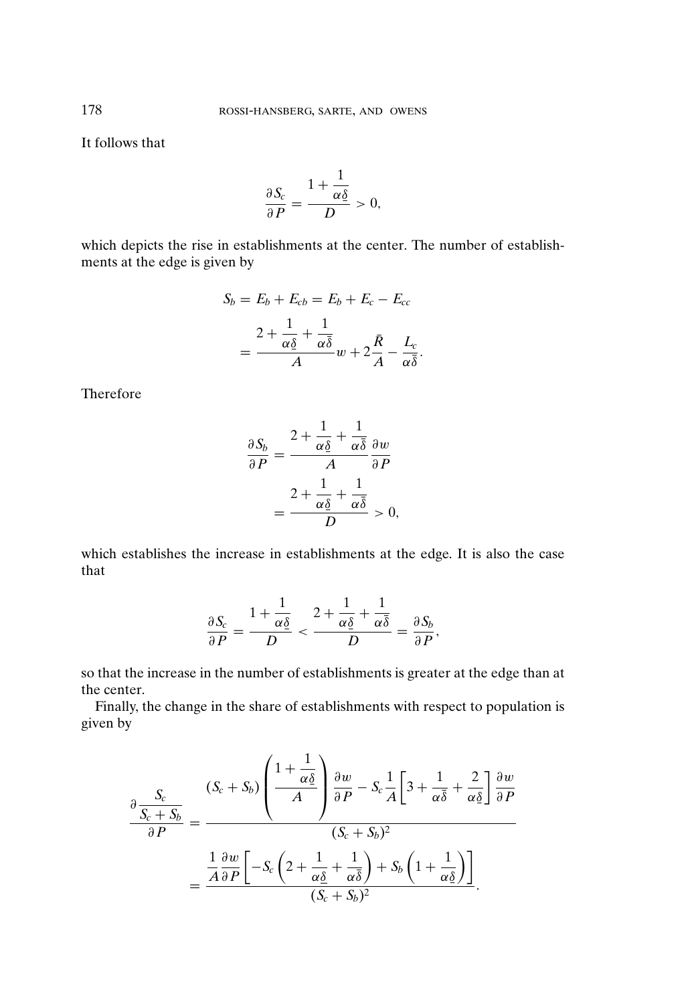It follows that

$$
\frac{\partial S_c}{\partial P} = \frac{1 + \frac{1}{\alpha \underline{\delta}}}{D} > 0,
$$

which depicts the rise in establishments at the center. The number of establishments at the edge is given by

$$
S_b = E_b + E_{cb} = E_b + E_c - E_{cc}
$$

$$
= \frac{2 + \frac{1}{\alpha \delta} + \frac{1}{\alpha \delta}}{A} w + 2\frac{\bar{R}}{A} - \frac{L_c}{\alpha \bar{\delta}}.
$$

Therefore

$$
\frac{\partial S_b}{\partial P} = \frac{2 + \frac{1}{\alpha \underline{\delta}} + \frac{1}{\alpha \overline{\delta}}}{A} \frac{\partial w}{\partial P}
$$

$$
= \frac{2 + \frac{1}{\alpha \underline{\delta}} + \frac{1}{\alpha \overline{\delta}}}{D} > 0,
$$

which establishes the increase in establishments at the edge. It is also the case that

$$
\frac{\partial S_c}{\partial P} = \frac{1 + \frac{1}{\alpha \delta}}{D} < \frac{2 + \frac{1}{\alpha \delta} + \frac{1}{\alpha \delta}}{D} = \frac{\partial S_b}{\partial P},
$$

so that the increase in the number of establishments is greater at the edge than at the center.

Finally, the change in the share of establishments with respect to population is given by

$$
\frac{\partial \frac{S_c}{S_c + S_b}}{\partial P} = \frac{(S_c + S_b) \left( \frac{1 + \frac{1}{\alpha \delta}}{A} \right) \frac{\partial w}{\partial P} - S_c \frac{1}{A} \left[ 3 + \frac{1}{\alpha \delta} + \frac{2}{\alpha \delta} \right] \frac{\partial w}{\partial P}}{(S_c + S_b)^2}
$$

$$
= \frac{\frac{1}{A} \frac{\partial w}{\partial P} \left[ -S_c \left( 2 + \frac{1}{\alpha \delta} + \frac{1}{\alpha \delta} \right) + S_b \left( 1 + \frac{1}{\alpha \delta} \right) \right]}{(S_c + S_b)^2}.
$$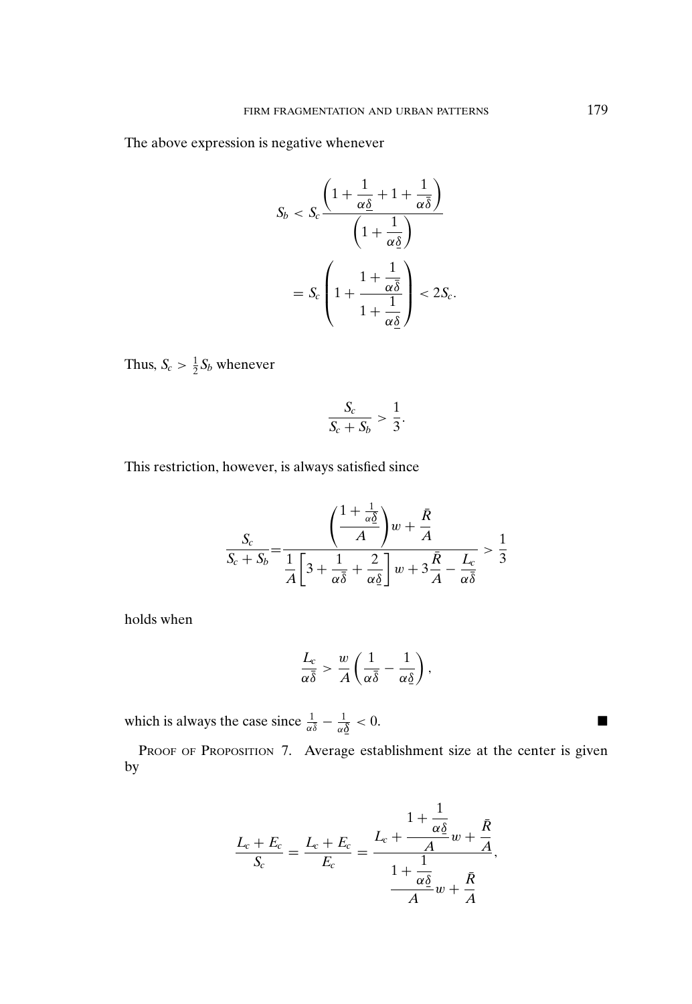The above expression is negative whenever

$$
S_b < S_c \frac{\left(1 + \frac{1}{\alpha \underline{\delta}} + 1 + \frac{1}{\alpha \overline{\delta}}\right)}{\left(1 + \frac{1}{\alpha \underline{\delta}}\right)}
$$
\n
$$
= S_c \left(1 + \frac{1 + \frac{1}{\alpha \underline{\delta}}}{1 + \frac{1}{\alpha \underline{\delta}}}\right) < 2S_c.
$$

Thus,  $S_c > \frac{1}{2} S_b$  whenever

$$
\frac{S_c}{S_c+S_b}>\frac{1}{3}.
$$

This restriction, however, is always satisfied since

$$
\frac{S_c}{S_c+S_b} = \frac{\left(\frac{1+\frac{1}{\alpha\delta}}{A}\right)w + \frac{\bar{R}}{A}}{\frac{1}{A}\left[3+\frac{1}{\alpha\bar{\delta}}+\frac{2}{\alpha\bar{\delta}}\right]w + 3\frac{\bar{R}}{A} - \frac{L_c}{\alpha\bar{\delta}}} > \frac{1}{3}
$$

holds when

$$
\frac{L_c}{\alpha \bar{\delta}} > \frac{w}{A} \left( \frac{1}{\alpha \bar{\delta}} - \frac{1}{\alpha \underline{\delta}} \right),
$$

which is always the case since  $\frac{1}{\alpha \overline{\delta}} - \frac{1}{\alpha \overline{\delta}} < 0$ . ¯

PROOF OF PROPOSITION 7. Average establishment size at the center is given by

$$
\frac{L_c + E_c}{S_c} = \frac{L_c + E_c}{E_c} = \frac{L_c + \frac{1 + \frac{1}{\alpha \delta}}{A} w + \frac{\bar{R}}{A}}{\frac{1 + \frac{1}{\alpha \delta}}{A} w + \frac{\bar{R}}{A}},
$$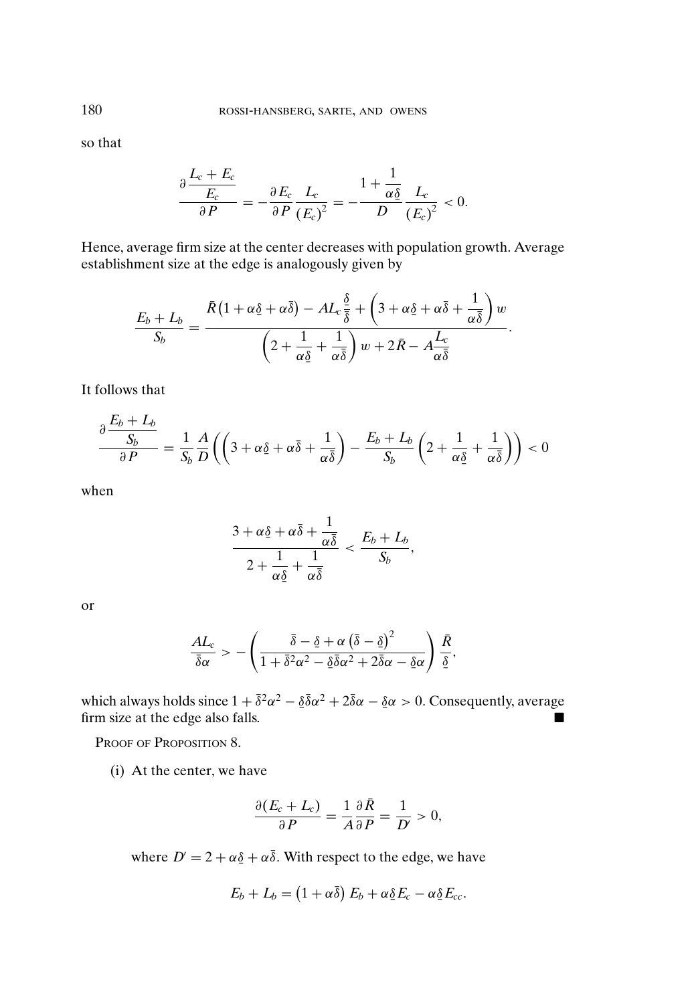so that

$$
\frac{\partial \frac{L_c + E_c}{E_c}}{\partial P} = -\frac{\partial E_c}{\partial P} \frac{L_c}{(E_c)^2} = -\frac{1 + \frac{1}{\alpha \underline{\delta}}}{D} \frac{L_c}{(E_c)^2} < 0.
$$

Hence, average firm size at the center decreases with population growth. Average establishment size at the edge is analogously given by

$$
\frac{E_b + L_b}{S_b} = \frac{\bar{R} (1 + \alpha \underline{\delta} + \alpha \overline{\delta}) - A L_c \frac{\underline{\delta}}{\overline{\delta}} + \left(3 + \alpha \underline{\delta} + \alpha \overline{\delta} + \frac{1}{\alpha \overline{\delta}}\right) w}{\left(2 + \frac{1}{\alpha \underline{\delta}} + \frac{1}{\alpha \overline{\delta}}\right) w + 2\bar{R} - A \frac{L_c}{\alpha \overline{\delta}}}.
$$

It follows that

$$
\frac{\partial \frac{E_b + L_b}{S_b}}{\partial P} = \frac{1}{S_b} \frac{A}{D} \left( \left( 3 + \alpha \delta + \alpha \bar{\delta} + \frac{1}{\alpha \bar{\delta}} \right) - \frac{E_b + L_b}{S_b} \left( 2 + \frac{1}{\alpha \bar{\delta}} + \frac{1}{\alpha \bar{\delta}} \right) \right) < 0
$$

when

$$
\frac{3+\alpha\underline{\delta}+\alpha\overline{\delta}+\frac{1}{\alpha\overline{\delta}}}{2+\frac{1}{\alpha\underline{\delta}}+\frac{1}{\alpha\overline{\delta}}} < \frac{E_b+L_b}{S_b},
$$

or

$$
\frac{AL_c}{\overline{\delta}\alpha} > -\left(\frac{\overline{\delta}-\underline{\delta}+\alpha\left(\overline{\delta}-\underline{\delta}\right)^2}{1+\overline{\delta}^2\alpha^2-\underline{\delta}\overline{\delta}\alpha^2+2\overline{\delta}\alpha-\underline{\delta}\alpha}\right)\frac{\overline{R}}{\underline{\delta}},
$$

which always holds since  $1 + \bar{\delta}^2 \alpha^2 - \underline{\delta} \bar{\delta} \alpha^2 + 2 \bar{\delta} \alpha - \underline{\delta} \alpha > 0$ . Consequently, average firm size at the edge also falls firm size at the edge also falls.

PROOF OF PROPOSITION 8.

(i) At the center, we have

$$
\frac{\partial (E_c + L_c)}{\partial P} = \frac{1}{A} \frac{\partial \bar{R}}{\partial P} = \frac{1}{D'} > 0,
$$

where  $D' = 2 + \alpha \delta + \alpha \overline{\delta}$ . With respect to the edge, we have

$$
E_b + L_b = (1 + \alpha \bar{\delta}) E_b + \alpha \underline{\delta} E_c - \alpha \underline{\delta} E_{cc}.
$$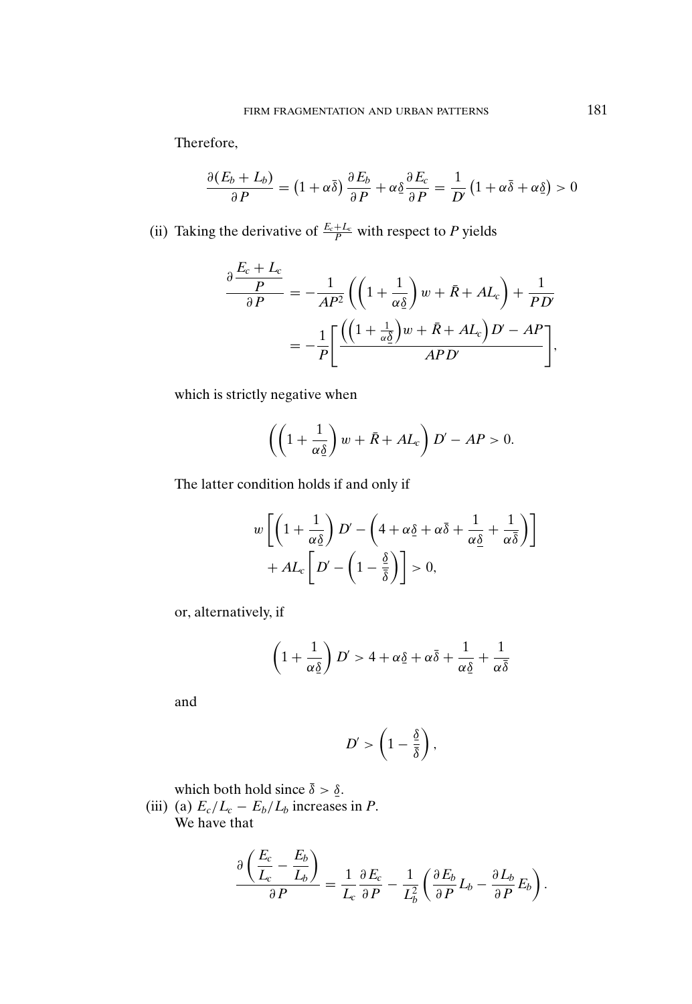Therefore,

$$
\frac{\partial (E_b + L_b)}{\partial P} = (1 + \alpha \bar{\delta}) \frac{\partial E_b}{\partial P} + \alpha \underline{\delta} \frac{\partial E_c}{\partial P} = \frac{1}{D'} (1 + \alpha \bar{\delta} + \alpha \underline{\delta}) > 0
$$

(ii) Taking the derivative of  $\frac{E_c + L_c}{P}$  with respect to *P* yields

$$
\frac{\partial \frac{E_c + L_c}{P}}{\partial P} = -\frac{1}{AP^2} \left( \left( 1 + \frac{1}{\alpha \delta} \right) w + \bar{R} + AL_c \right) + \frac{1}{PD'}
$$

$$
= -\frac{1}{P} \left[ \frac{\left( \left( 1 + \frac{1}{\alpha \delta} \right) w + \bar{R} + AL_c \right) D' - AP}{APD} \right],
$$

which is strictly negative when

$$
\left(\left(1+\frac{1}{\alpha\delta}\right)w+\bar{R}+AL_c\right)D'-AP>0.
$$

The latter condition holds if and only if

$$
w \left[ \left( 1 + \frac{1}{\alpha \underline{\delta}} \right) D' - \left( 4 + \alpha \underline{\delta} + \alpha \overline{\delta} + \frac{1}{\alpha \underline{\delta}} + \frac{1}{\alpha \overline{\delta}} \right) \right] + AL_c \left[ D' - \left( 1 - \frac{\underline{\delta}}{\overline{\delta}} \right) \right] > 0,
$$

or, alternatively, if

$$
\left(1+\frac{1}{\alpha \underline{\delta}}\right)D' > 4 + \alpha \underline{\delta} + \alpha \overline{\delta} + \frac{1}{\alpha \underline{\delta}} + \frac{1}{\alpha \overline{\delta}}
$$

and

$$
D' > \left(1 - \frac{\underline{\delta}}{\overline{\delta}}\right),
$$

which both hold since  $\bar{\delta} > \underline{\delta}$ .<br>(a)  $F / I = F / I$  increases

(iii) (a)  $E_c/L_c - E_b/L_b$  increases in *P*. We have that

$$
\frac{\partial \left(\frac{E_c}{L_c} - \frac{E_b}{L_b}\right)}{\partial P} = \frac{1}{L_c} \frac{\partial E_c}{\partial P} - \frac{1}{L_b^2} \left(\frac{\partial E_b}{\partial P} L_b - \frac{\partial L_b}{\partial P} E_b\right).
$$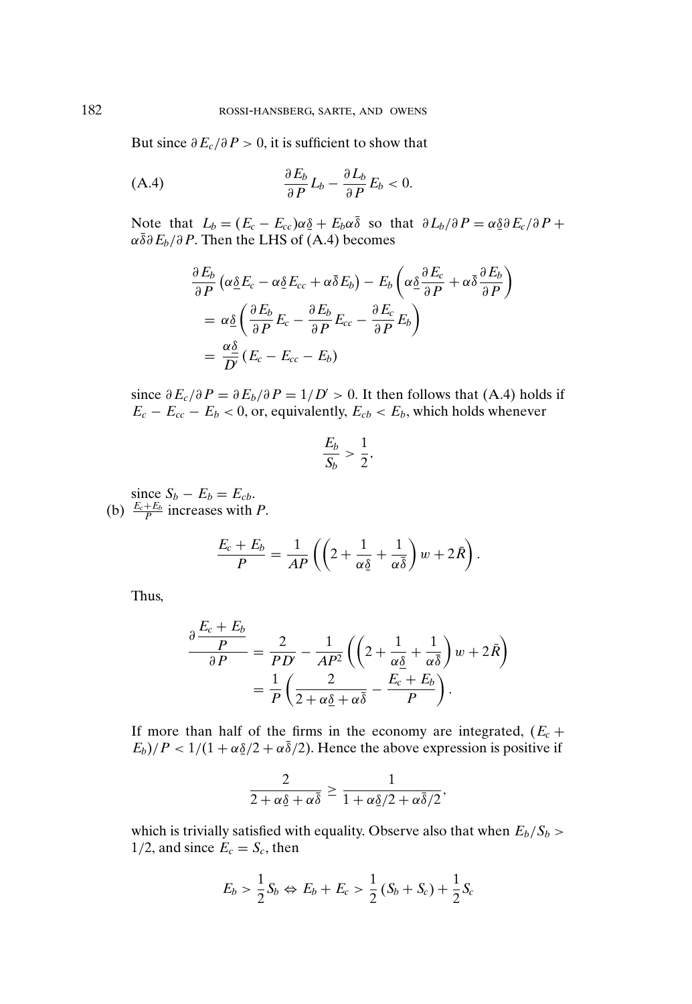But since  $\partial E_c / \partial P > 0$ , it is sufficient to show that

(A.4) 
$$
\frac{\partial E_b}{\partial P} L_b - \frac{\partial L_b}{\partial P} E_b < 0.
$$

Note that  $L_b = (E_c - E_{cc})\alpha \delta + E_b \alpha \bar{\delta}$  so that  $\partial L_b / \partial P = \alpha \delta \bar{\partial} E_c / \partial P + \alpha \bar{\delta} \bar{\partial} E_c / \partial P$ .  $\alpha \bar{\delta} \partial E_b / \partial P$ . Then the LHS of (A.4) becomes

$$
\frac{\partial E_b}{\partial P} \left( \alpha \underline{\delta} E_c - \alpha \underline{\delta} E_{cc} + \alpha \overline{\delta} E_b \right) - E_b \left( \alpha \underline{\delta} \frac{\partial E_c}{\partial P} + \alpha \overline{\delta} \frac{\partial E_b}{\partial P} \right) \n= \alpha \underline{\delta} \left( \frac{\partial E_b}{\partial P} E_c - \frac{\partial E_b}{\partial P} E_{cc} - \frac{\partial E_c}{\partial P} E_b \right) \n= \frac{\alpha \underline{\delta}}{D} \left( E_c - E_{cc} - E_b \right)
$$

since  $\partial E_c / \partial P = \partial E_b / \partial P = 1/D' > 0$ . It then follows that (A.4) holds if  $E_c - E_{cc} - E_b < 0$ , or, equivalently,  $E_{cb} < E_b$ , which holds whenever

$$
\frac{E_b}{S_b} > \frac{1}{2},
$$

since  $S_b - E_b = E_{cb}$ . (b)  $\frac{E_c + E_b}{P}$  increases with *P*.

$$
\frac{E_c + E_b}{P} = \frac{1}{AP} \left( \left( 2 + \frac{1}{\alpha \underline{\delta}} + \frac{1}{\alpha \overline{\delta}} \right) w + 2\overline{R} \right).
$$

Thus,

$$
\frac{\partial \frac{E_c + E_b}{P}}{\partial P} = \frac{2}{PD'} - \frac{1}{AP^2} \left( \left( 2 + \frac{1}{\alpha \underline{\delta}} + \frac{1}{\alpha \overline{\delta}} \right) w + 2\overline{R} \right)
$$

$$
= \frac{1}{P} \left( \frac{2}{2 + \alpha \underline{\delta} + \alpha \overline{\delta}} - \frac{E_c + E_b}{P} \right).
$$

If more than half of the firms in the economy are integrated,  $(E_c +$  $(E_b)/P < 1/(1 + \alpha \delta/2 + \alpha \bar{\delta}/2)$ . Hence the above expression is positive if

$$
\frac{2}{2+\alpha\delta+\alpha\bar{\delta}}\geq \frac{1}{1+\alpha\delta/2+\alpha\bar{\delta}/2},
$$

which is trivially satisfied with equality. Observe also that when  $E_b/S_b$  > 1/2, and since  $E_c = S_c$ , then

$$
E_b > \frac{1}{2}S_b \Leftrightarrow E_b + E_c > \frac{1}{2}(S_b + S_c) + \frac{1}{2}S_c
$$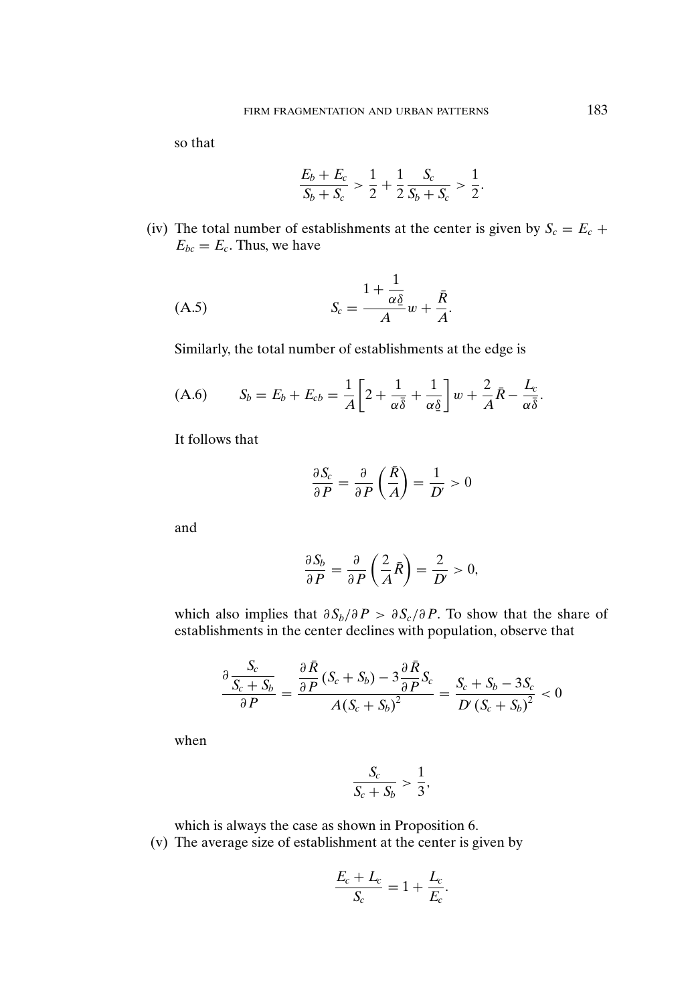so that

$$
\frac{E_b + E_c}{S_b + S_c} > \frac{1}{2} + \frac{1}{2} \frac{S_c}{S_b + S_c} > \frac{1}{2}.
$$

(iv) The total number of establishments at the center is given by  $S_c = E_c +$  $E_{bc} = E_c$ . Thus, we have

(A.5) 
$$
S_c = \frac{1 + \frac{1}{\alpha \delta}}{A} w + \frac{\bar{R}}{A}.
$$

Similarly, the total number of establishments at the edge is

(A.6) 
$$
S_b = E_b + E_{cb} = \frac{1}{A} \left[ 2 + \frac{1}{\alpha \overline{\delta}} + \frac{1}{\alpha \overline{\delta}} \right] w + \frac{2}{A} \overline{R} - \frac{L_c}{\alpha \overline{\delta}}.
$$

It follows that

$$
\frac{\partial S_c}{\partial P} = \frac{\partial}{\partial P} \left( \frac{\bar{R}}{A} \right) = \frac{1}{D'} > 0
$$

and

$$
\frac{\partial S_b}{\partial P} = \frac{\partial}{\partial P} \left( \frac{2}{A} \bar{R} \right) = \frac{2}{D'} > 0,
$$

which also implies that  $\partial S_b/\partial P > \partial S_c/\partial P$ . To show that the share of establishments in the center declines with population, observe that

$$
\frac{\partial \frac{S_c}{S_c + S_b}}{\partial P} = \frac{\frac{\partial \bar{R}}{\partial P} (S_c + S_b) - 3 \frac{\partial \bar{R}}{\partial P} S_c}{A (S_c + S_b)^2} = \frac{S_c + S_b - 3 S_c}{D' (S_c + S_b)^2} < 0
$$

when

$$
\frac{S_c}{S_c+S_b}>\frac{1}{3},
$$

which is always the case as shown in Proposition 6. (v) The average size of establishment at the center is given by

$$
\frac{E_c + L_c}{S_c} = 1 + \frac{L_c}{E_c}.
$$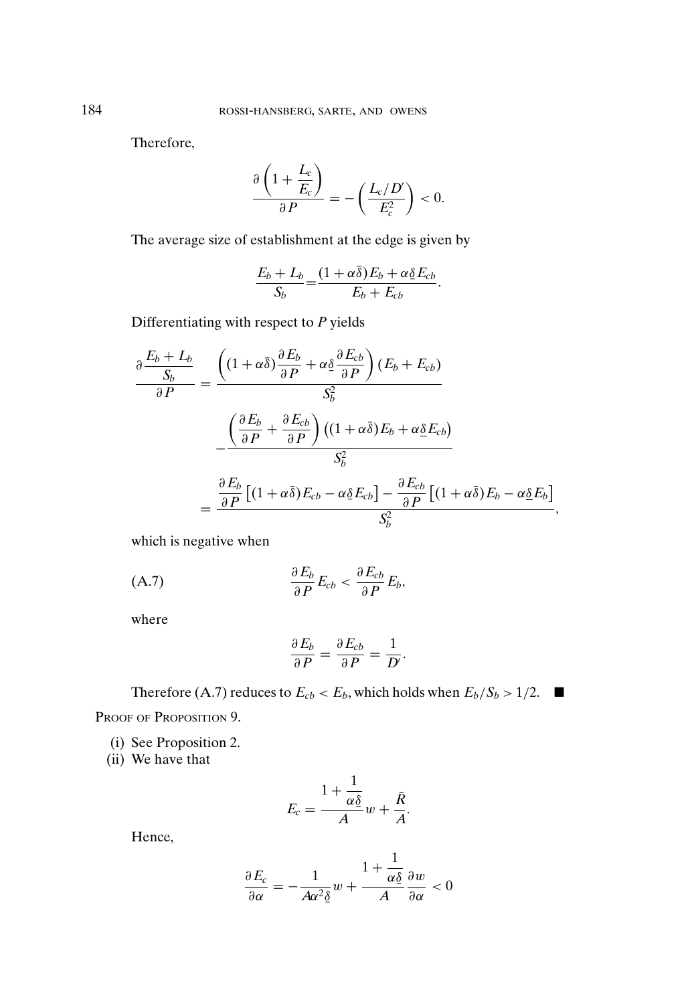Therefore,

$$
\frac{\partial \left(1+\frac{L_c}{E_c}\right)}{\partial P} = -\left(\frac{L_c/D'}{E_c^2}\right) < 0.
$$

The average size of establishment at the edge is given by

$$
\frac{E_b + L_b}{S_b} = \frac{(1 + \alpha \bar{\delta})E_b + \alpha \underline{\delta}E_{cb}}{E_b + E_{cb}}.
$$

Differentiating with respect to *P* yields

$$
\frac{\partial \frac{E_b + L_b}{S_b}}{\partial P} = \frac{\left((1 + \alpha \bar{\delta}) \frac{\partial E_b}{\partial P} + \alpha \underline{\delta} \frac{\partial E_{cb}}{\partial P}\right) (E_b + E_{cb})}{S_b^2}
$$

$$
- \frac{\left(\frac{\partial E_b}{\partial P} + \frac{\partial E_{cb}}{\partial P}\right) ((1 + \alpha \bar{\delta}) E_b + \alpha \underline{\delta} E_{cb})}{S_b^2}
$$

$$
= \frac{\frac{\partial E_b}{\partial P} \left[ (1 + \alpha \bar{\delta}) E_{cb} - \alpha \underline{\delta} E_{cb} \right] - \frac{\partial E_{cb}}{\partial P} \left[ (1 + \alpha \bar{\delta}) E_b - \alpha \underline{\delta} E_b \right]}{S_b^2},
$$

which is negative when

(A.7) 
$$
\frac{\partial E_b}{\partial P} E_{cb} < \frac{\partial E_{cb}}{\partial P} E_b,
$$

where

$$
\frac{\partial E_b}{\partial P} = \frac{\partial E_{cb}}{\partial P} = \frac{1}{D'}.
$$

Therefore (A.7) reduces to  $E_{cb} < E_b$ , which holds when  $E_b/S_b > 1/2$ .

PROOF OF PROPOSITION 9.

- (i) See Proposition 2.
- (ii) We have that

$$
E_c = \frac{1 + \frac{1}{\alpha \delta}}{A} w + \frac{\bar{R}}{A}.
$$

Hence,

$$
\frac{\partial E_c}{\partial \alpha} = -\frac{1}{A\alpha^2 \underline{\delta}} w + \frac{1 + \frac{1}{\alpha \underline{\delta}}}{A} \frac{\partial w}{\partial \alpha} < 0
$$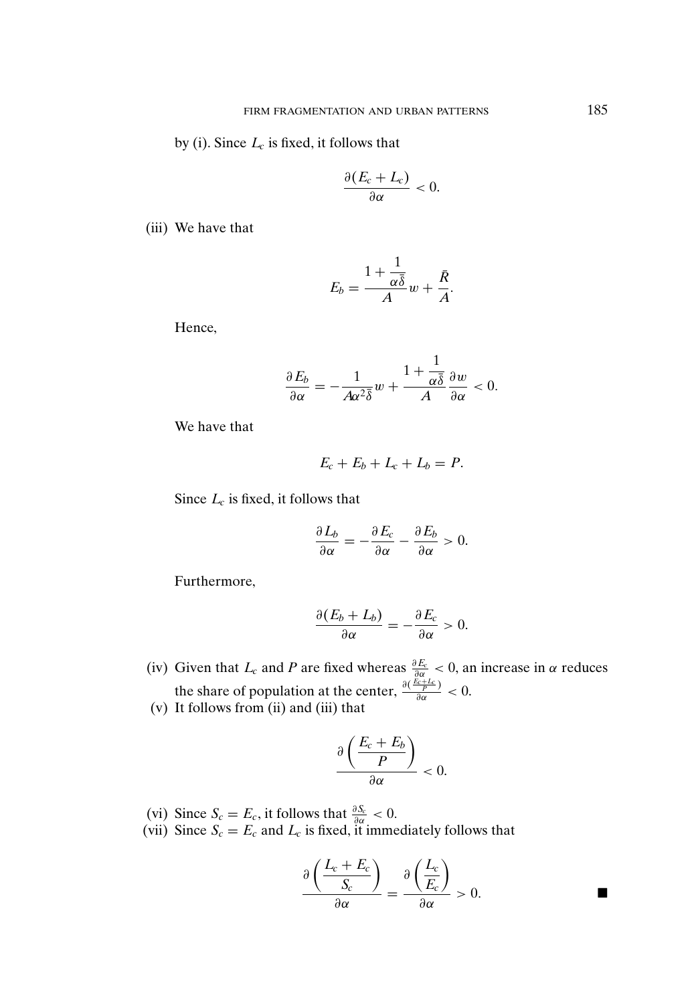by (i). Since *Lc* is fixed, it follows that

$$
\frac{\partial (E_c+L_c)}{\partial \alpha}<0.
$$

(iii) We have that

$$
E_b = \frac{1 + \frac{1}{\alpha \overline{\delta}}}{A} w + \frac{\overline{R}}{A}.
$$

Hence,

$$
\frac{\partial E_b}{\partial \alpha} = -\frac{1}{A\alpha^2 \overline{\delta}} w + \frac{1 + \frac{1}{\alpha \overline{\delta}}}{A} \frac{\partial w}{\partial \alpha} < 0.
$$

We have that

$$
E_c + E_b + L_c + L_b = P.
$$

Since  $L_c$  is fixed, it follows that

$$
\frac{\partial L_b}{\partial \alpha} = -\frac{\partial E_c}{\partial \alpha} - \frac{\partial E_b}{\partial \alpha} > 0.
$$

Furthermore,

$$
\frac{\partial (E_b + L_b)}{\partial \alpha} = -\frac{\partial E_c}{\partial \alpha} > 0.
$$

(iv) Given that *L*<sub>c</sub> and *P* are fixed whereas  $\frac{\partial E_c}{\partial \alpha}$  < 0, an increase in  $\alpha$  reduces the share of population at the center,  $\frac{\partial (E_f + L_c)}{\partial \alpha} < 0$ .

(v) It follows from (ii) and (iii) that

$$
\frac{\partial \left(\frac{E_c+E_b}{P}\right)}{\partial \alpha}<0.
$$

- (vi) Since  $S_c = E_c$ , it follows that  $\frac{\partial S_c}{\partial \alpha} < 0$ .
- (vii) Since  $S_c = E_c$  and  $L_c$  is fixed, it immediately follows that

$$
\frac{\partial \left(\frac{L_c + E_c}{S_c}\right)}{\partial \alpha} = \frac{\partial \left(\frac{L_c}{E_c}\right)}{\partial \alpha} > 0.
$$